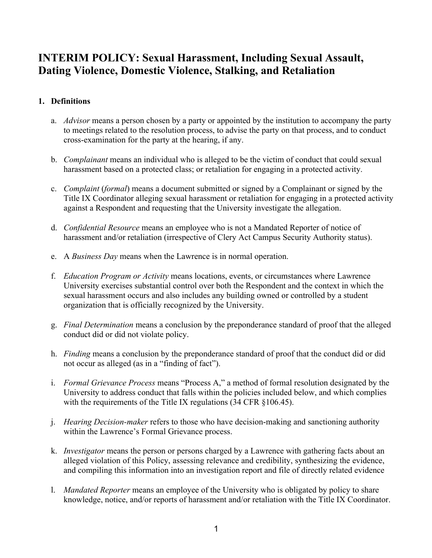# **INTERIM POLICY: Sexual Harassment, Including Sexual Assault, Dating Violence, Domestic Violence, Stalking, and Retaliation**

## **1. Definitions**

- a. *Advisor* means a person chosen by a party or appointed by the institution to accompany the party to meetings related to the resolution process, to advise the party on that process, and to conduct cross-examination for the party at the hearing, if any.
- b. *Complainant* means an individual who is alleged to be the victim of conduct that could sexual harassment based on a protected class; or retaliation for engaging in a protected activity.
- c. *Complaint* (*formal*) means a document submitted or signed by a Complainant or signed by the Title IX Coordinator alleging sexual harassment or retaliation for engaging in a protected activity against a Respondent and requesting that the University investigate the allegation.
- d. *Confidential Resource* means an employee who is not a Mandated Reporter of notice of harassment and/or retaliation (irrespective of Clery Act Campus Security Authority status).
- e. A *Business Day* means when the Lawrence is in normal operation.
- f. *Education Program or Activity* means locations, events, or circumstances where Lawrence University exercises substantial control over both the Respondent and the context in which the sexual harassment occurs and also includes any building owned or controlled by a student organization that is officially recognized by the University.
- g. *Final Determination* means a conclusion by the preponderance standard of proof that the alleged conduct did or did not violate policy.
- h. *Finding* means a conclusion by the preponderance standard of proof that the conduct did or did not occur as alleged (as in a "finding of fact").
- i. *Formal Grievance Process* means "Process A," a method of formal resolution designated by the University to address conduct that falls within the policies included below, and which complies with the requirements of the Title IX regulations (34 CFR §106.45).
- j. *Hearing Decision-maker* refers to those who have decision-making and sanctioning authority within the Lawrence's Formal Grievance process.
- k. *Investigator* means the person or persons charged by a Lawrence with gathering facts about an alleged violation of this Policy, assessing relevance and credibility, synthesizing the evidence, and compiling this information into an investigation report and file of directly related evidence
- l. *Mandated Reporter* means an employee of the University who is obligated by policy to share knowledge, notice, and/or reports of harassment and/or retaliation with the Title IX Coordinator.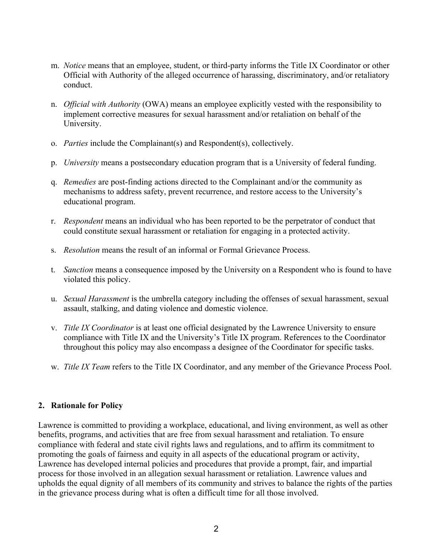- m. *Notice* means that an employee, student, or third-party informs the Title IX Coordinator or other Official with Authority of the alleged occurrence of harassing, discriminatory, and/or retaliatory conduct.
- n. *Official with Authority* (OWA) means an employee explicitly vested with the responsibility to implement corrective measures for sexual harassment and/or retaliation on behalf of the University.
- o. *Parties* include the Complainant(s) and Respondent(s), collectively.
- p. *University* means a postsecondary education program that is a University of federal funding.
- q. *Remedies* are post-finding actions directed to the Complainant and/or the community as mechanisms to address safety, prevent recurrence, and restore access to the University's educational program.
- r. *Respondent* means an individual who has been reported to be the perpetrator of conduct that could constitute sexual harassment or retaliation for engaging in a protected activity.
- s. *Resolution* means the result of an informal or Formal Grievance Process.
- t. *Sanction* means a consequence imposed by the University on a Respondent who is found to have violated this policy.
- u. *Sexual Harassment* is the umbrella category including the offenses of sexual harassment, sexual assault, stalking, and dating violence and domestic violence.
- v. *Title IX Coordinator* is at least one official designated by the Lawrence University to ensure compliance with Title IX and the University's Title IX program. References to the Coordinator throughout this policy may also encompass a designee of the Coordinator for specific tasks.
- w. *Title IX Team* refers to the Title IX Coordinator, and any member of the Grievance Process Pool.

#### **2. Rationale for Policy**

Lawrence is committed to providing a workplace, educational, and living environment, as well as other benefits, programs, and activities that are free from sexual harassment and retaliation. To ensure compliance with federal and state civil rights laws and regulations, and to affirm its commitment to promoting the goals of fairness and equity in all aspects of the educational program or activity, Lawrence has developed internal policies and procedures that provide a prompt, fair, and impartial process for those involved in an allegation sexual harassment or retaliation. Lawrence values and upholds the equal dignity of all members of its community and strives to balance the rights of the parties in the grievance process during what is often a difficult time for all those involved.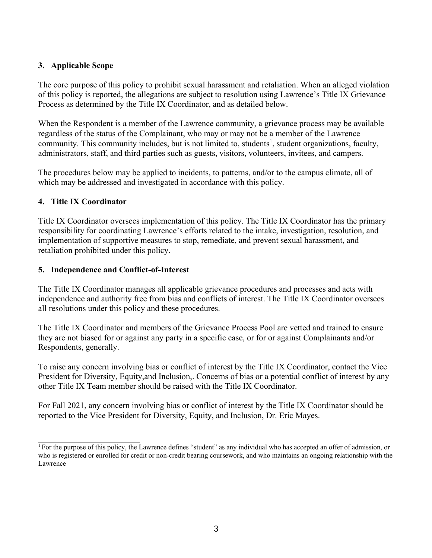### **3. Applicable Scope**

The core purpose of this policy to prohibit sexual harassment and retaliation. When an alleged violation of this policy is reported, the allegations are subject to resolution using Lawrence's Title IX Grievance Process as determined by the Title IX Coordinator, and as detailed below.

When the Respondent is a member of the Lawrence community, a grievance process may be available regardless of the status of the Complainant, who may or may not be a member of the Lawrence community. This community includes, but is not limited to, students<sup>1</sup>, student organizations, faculty, administrators, staff, and third parties such as guests, visitors, volunteers, invitees, and campers.

The procedures below may be applied to incidents, to patterns, and/or to the campus climate, all of which may be addressed and investigated in accordance with this policy.

## **4. Title IX Coordinator**

Title IX Coordinator oversees implementation of this policy. The Title IX Coordinator has the primary responsibility for coordinating Lawrence's efforts related to the intake, investigation, resolution, and implementation of supportive measures to stop, remediate, and prevent sexual harassment, and retaliation prohibited under this policy.

## **5. Independence and Conflict-of-Interest**

The Title IX Coordinator manages all applicable grievance procedures and processes and acts with independence and authority free from bias and conflicts of interest. The Title IX Coordinator oversees all resolutions under this policy and these procedures.

The Title IX Coordinator and members of the Grievance Process Pool are vetted and trained to ensure they are not biased for or against any party in a specific case, or for or against Complainants and/or Respondents, generally.

To raise any concern involving bias or conflict of interest by the Title IX Coordinator, contact the Vice President for Diversity, Equity,and Inclusion,. Concerns of bias or a potential conflict of interest by any other Title IX Team member should be raised with the Title IX Coordinator.

For Fall 2021, any concern involving bias or conflict of interest by the Title IX Coordinator should be reported to the Vice President for Diversity, Equity, and Inclusion, Dr. Eric Mayes.

<sup>&</sup>lt;sup>1</sup> For the purpose of this policy, the Lawrence defines "student" as any individual who has accepted an offer of admission, or who is registered or enrolled for credit or non-credit bearing coursework, and who maintains an ongoing relationship with the Lawrence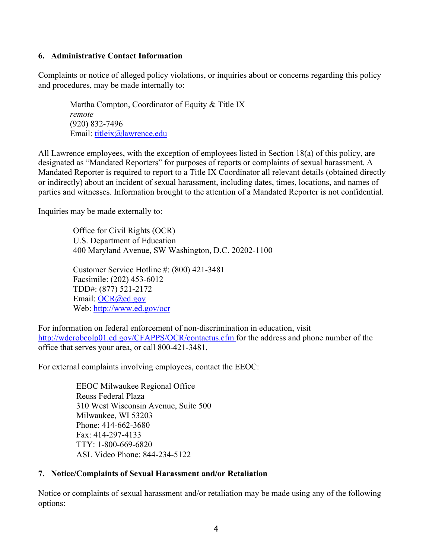#### **6. Administrative Contact Information**

Complaints or notice of alleged policy violations, or inquiries about or concerns regarding this policy and procedures, may be made internally to:

Martha Compton, Coordinator of Equity & Title IX *remote* (920) 832-7496 Email: titleix@lawrence.edu

All Lawrence employees, with the exception of employees listed in Section 18(a) of this policy, are designated as "Mandated Reporters" for purposes of reports or complaints of sexual harassment. A Mandated Reporter is required to report to a Title IX Coordinator all relevant details (obtained directly or indirectly) about an incident of sexual harassment, including dates, times, locations, and names of parties and witnesses. Information brought to the attention of a Mandated Reporter is not confidential.

Inquiries may be made externally to:

Office for Civil Rights (OCR) U.S. Department of Education 400 Maryland Avenue, SW Washington, D.C. 20202-1100

Customer Service Hotline #: (800) 421-3481 Facsimile: (202) 453-6012 TDD#: (877) 521-2172 Email: OCR@ed.gov Web: http://www.ed.gov/ocr

For information on federal enforcement of non-discrimination in education, visit http://wdcrobcolp01.ed.gov/CFAPPS/OCR/contactus.cfm for the address and phone number of the office that serves your area, or call 800-421-3481.

For external complaints involving employees, contact the EEOC:

EEOC Milwaukee Regional Office Reuss Federal Plaza 310 West Wisconsin Avenue, Suite 500 Milwaukee, WI 53203 Phone: 414-662-3680 Fax: 414-297-4133 TTY: 1-800-669-6820 ASL Video Phone: 844-234-5122

#### **7. Notice/Complaints of Sexual Harassment and/or Retaliation**

Notice or complaints of sexual harassment and/or retaliation may be made using any of the following options: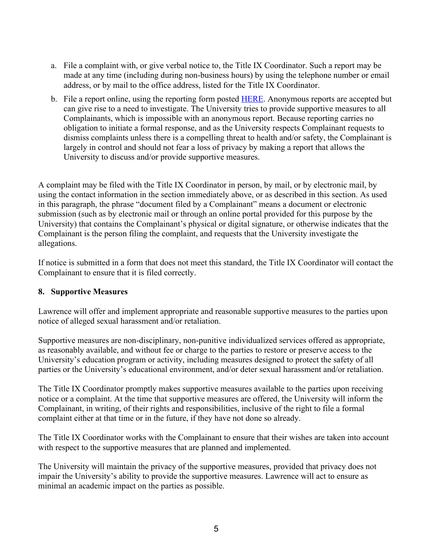- a. File a complaint with, or give verbal notice to, the Title IX Coordinator. Such a report may be made at any time (including during non-business hours) by using the telephone number or email address, or by mail to the office address, listed for the Title IX Coordinator.
- b. File a report online, using the reporting form posted **HERE**. Anonymous reports are accepted but can give rise to a need to investigate. The University tries to provide supportive measures to all Complainants, which is impossible with an anonymous report. Because reporting carries no obligation to initiate a formal response, and as the University respects Complainant requests to dismiss complaints unless there is a compelling threat to health and/or safety, the Complainant is largely in control and should not fear a loss of privacy by making a report that allows the University to discuss and/or provide supportive measures.

A complaint may be filed with the Title IX Coordinator in person, by mail, or by electronic mail, by using the contact information in the section immediately above, or as described in this section. As used in this paragraph, the phrase "document filed by a Complainant" means a document or electronic submission (such as by electronic mail or through an online portal provided for this purpose by the University) that contains the Complainant's physical or digital signature, or otherwise indicates that the Complainant is the person filing the complaint, and requests that the University investigate the allegations.

If notice is submitted in a form that does not meet this standard, the Title IX Coordinator will contact the Complainant to ensure that it is filed correctly.

#### **8. Supportive Measures**

Lawrence will offer and implement appropriate and reasonable supportive measures to the parties upon notice of alleged sexual harassment and/or retaliation.

Supportive measures are non-disciplinary, non-punitive individualized services offered as appropriate, as reasonably available, and without fee or charge to the parties to restore or preserve access to the University's education program or activity, including measures designed to protect the safety of all parties or the University's educational environment, and/or deter sexual harassment and/or retaliation.

The Title IX Coordinator promptly makes supportive measures available to the parties upon receiving notice or a complaint. At the time that supportive measures are offered, the University will inform the Complainant, in writing, of their rights and responsibilities, inclusive of the right to file a formal complaint either at that time or in the future, if they have not done so already.

The Title IX Coordinator works with the Complainant to ensure that their wishes are taken into account with respect to the supportive measures that are planned and implemented.

The University will maintain the privacy of the supportive measures, provided that privacy does not impair the University's ability to provide the supportive measures. Lawrence will act to ensure as minimal an academic impact on the parties as possible.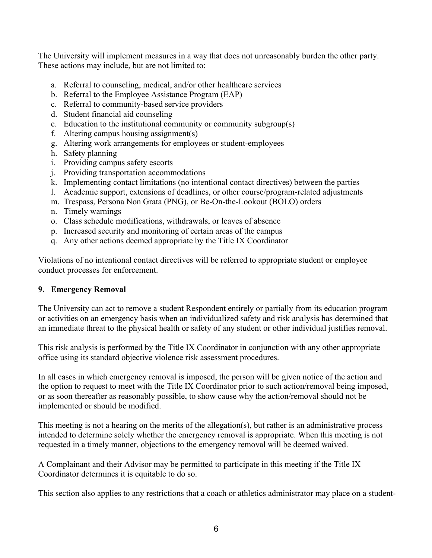The University will implement measures in a way that does not unreasonably burden the other party. These actions may include, but are not limited to:

- a. Referral to counseling, medical, and/or other healthcare services
- b. Referral to the Employee Assistance Program (EAP)
- c. Referral to community-based service providers
- d. Student financial aid counseling
- e. Education to the institutional community or community subgroup(s)
- f. Altering campus housing assignment(s)
- g. Altering work arrangements for employees or student-employees
- h. Safety planning
- i. Providing campus safety escorts
- j. Providing transportation accommodations
- k. Implementing contact limitations (no intentional contact directives) between the parties
- l. Academic support, extensions of deadlines, or other course/program-related adjustments
- m. Trespass, Persona Non Grata (PNG), or Be-On-the-Lookout (BOLO) orders
- n. Timely warnings
- o. Class schedule modifications, withdrawals, or leaves of absence
- p. Increased security and monitoring of certain areas of the campus
- q. Any other actions deemed appropriate by the Title IX Coordinator

Violations of no intentional contact directives will be referred to appropriate student or employee conduct processes for enforcement.

#### **9. Emergency Removal**

The University can act to remove a student Respondent entirely or partially from its education program or activities on an emergency basis when an individualized safety and risk analysis has determined that an immediate threat to the physical health or safety of any student or other individual justifies removal.

This risk analysis is performed by the Title IX Coordinator in conjunction with any other appropriate office using its standard objective violence risk assessment procedures.

In all cases in which emergency removal is imposed, the person will be given notice of the action and the option to request to meet with the Title IX Coordinator prior to such action/removal being imposed, or as soon thereafter as reasonably possible, to show cause why the action/removal should not be implemented or should be modified.

This meeting is not a hearing on the merits of the allegation(s), but rather is an administrative process intended to determine solely whether the emergency removal is appropriate. When this meeting is not requested in a timely manner, objections to the emergency removal will be deemed waived.

A Complainant and their Advisor may be permitted to participate in this meeting if the Title IX Coordinator determines it is equitable to do so.

This section also applies to any restrictions that a coach or athletics administrator may place on a student-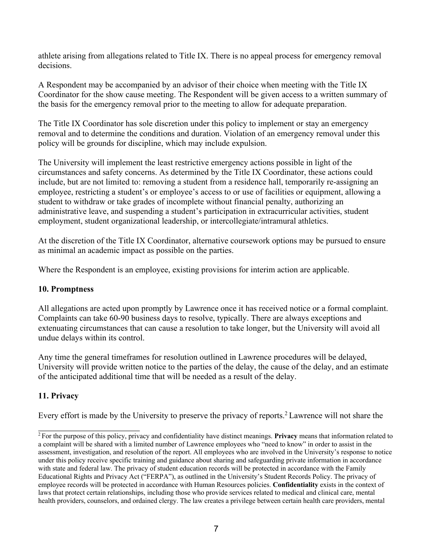athlete arising from allegations related to Title IX. There is no appeal process for emergency removal decisions.

A Respondent may be accompanied by an advisor of their choice when meeting with the Title IX Coordinator for the show cause meeting. The Respondent will be given access to a written summary of the basis for the emergency removal prior to the meeting to allow for adequate preparation.

The Title IX Coordinator has sole discretion under this policy to implement or stay an emergency removal and to determine the conditions and duration. Violation of an emergency removal under this policy will be grounds for discipline, which may include expulsion.

The University will implement the least restrictive emergency actions possible in light of the circumstances and safety concerns. As determined by the Title IX Coordinator, these actions could include, but are not limited to: removing a student from a residence hall, temporarily re-assigning an employee, restricting a student's or employee's access to or use of facilities or equipment, allowing a student to withdraw or take grades of incomplete without financial penalty, authorizing an administrative leave, and suspending a student's participation in extracurricular activities, student employment, student organizational leadership, or intercollegiate/intramural athletics.

At the discretion of the Title IX Coordinator, alternative coursework options may be pursued to ensure as minimal an academic impact as possible on the parties.

Where the Respondent is an employee, existing provisions for interim action are applicable.

#### **10. Promptness**

All allegations are acted upon promptly by Lawrence once it has received notice or a formal complaint. Complaints can take 60-90 business days to resolve, typically. There are always exceptions and extenuating circumstances that can cause a resolution to take longer, but the University will avoid all undue delays within its control.

Any time the general timeframes for resolution outlined in Lawrence procedures will be delayed, University will provide written notice to the parties of the delay, the cause of the delay, and an estimate of the anticipated additional time that will be needed as a result of the delay.

#### **11. Privacy**

Every effort is made by the University to preserve the privacy of reports.<sup>2</sup> Lawrence will not share the

<sup>2</sup> For the purpose of this policy, privacy and confidentiality have distinct meanings. **Privacy** means that information related to a complaint will be shared with a limited number of Lawrence employees who "need to know" in order to assist in the assessment, investigation, and resolution of the report. All employees who are involved in the University's response to notice under this policy receive specific training and guidance about sharing and safeguarding private information in accordance with state and federal law. The privacy of student education records will be protected in accordance with the Family Educational Rights and Privacy Act ("FERPA"), as outlined in the University's Student Records Policy. The privacy of employee records will be protected in accordance with Human Resources policies. **Confidentiality** exists in the context of laws that protect certain relationships, including those who provide services related to medical and clinical care, mental health providers, counselors, and ordained clergy. The law creates a privilege between certain health care providers, mental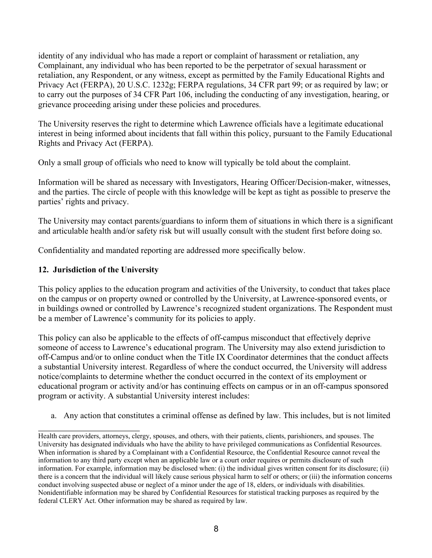identity of any individual who has made a report or complaint of harassment or retaliation, any Complainant, any individual who has been reported to be the perpetrator of sexual harassment or retaliation, any Respondent, or any witness, except as permitted by the Family Educational Rights and Privacy Act (FERPA), 20 U.S.C. 1232g; FERPA regulations, 34 CFR part 99; or as required by law; or to carry out the purposes of 34 CFR Part 106, including the conducting of any investigation, hearing, or grievance proceeding arising under these policies and procedures.

The University reserves the right to determine which Lawrence officials have a legitimate educational interest in being informed about incidents that fall within this policy, pursuant to the Family Educational Rights and Privacy Act (FERPA).

Only a small group of officials who need to know will typically be told about the complaint.

Information will be shared as necessary with Investigators, Hearing Officer/Decision-maker, witnesses, and the parties. The circle of people with this knowledge will be kept as tight as possible to preserve the parties' rights and privacy.

The University may contact parents/guardians to inform them of situations in which there is a significant and articulable health and/or safety risk but will usually consult with the student first before doing so.

Confidentiality and mandated reporting are addressed more specifically below.

# **12. Jurisdiction of the University**

This policy applies to the education program and activities of the University, to conduct that takes place on the campus or on property owned or controlled by the University, at Lawrence-sponsored events, or in buildings owned or controlled by Lawrence's recognized student organizations. The Respondent must be a member of Lawrence's community for its policies to apply.

This policy can also be applicable to the effects of off-campus misconduct that effectively deprive someone of access to Lawrence's educational program. The University may also extend jurisdiction to off-Campus and/or to online conduct when the Title IX Coordinator determines that the conduct affects a substantial University interest. Regardless of where the conduct occurred, the University will address notice/complaints to determine whether the conduct occurred in the context of its employment or educational program or activity and/or has continuing effects on campus or in an off-campus sponsored program or activity. A substantial University interest includes:

a. Any action that constitutes a criminal offense as defined by law. This includes, but is not limited

Health care providers, attorneys, clergy, spouses, and others, with their patients, clients, parishioners, and spouses. The University has designated individuals who have the ability to have privileged communications as Confidential Resources. When information is shared by a Complainant with a Confidential Resource, the Confidential Resource cannot reveal the information to any third party except when an applicable law or a court order requires or permits disclosure of such information. For example, information may be disclosed when: (i) the individual gives written consent for its disclosure; (ii) there is a concern that the individual will likely cause serious physical harm to self or others; or (iii) the information concerns conduct involving suspected abuse or neglect of a minor under the age of 18, elders, or individuals with disabilities. Nonidentifiable information may be shared by Confidential Resources for statistical tracking purposes as required by the federal CLERY Act. Other information may be shared as required by law.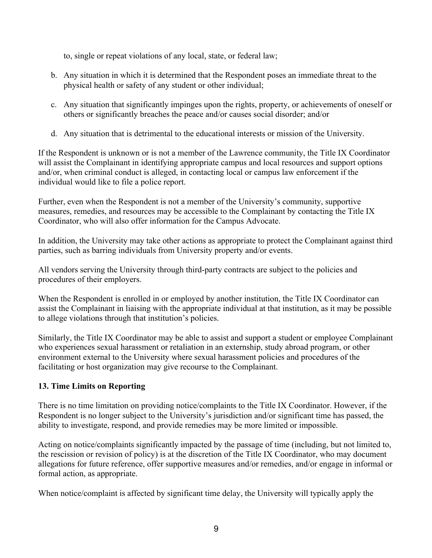to, single or repeat violations of any local, state, or federal law;

- b. Any situation in which it is determined that the Respondent poses an immediate threat to the physical health or safety of any student or other individual;
- c. Any situation that significantly impinges upon the rights, property, or achievements of oneself or others or significantly breaches the peace and/or causes social disorder; and/or
- d. Any situation that is detrimental to the educational interests or mission of the University.

If the Respondent is unknown or is not a member of the Lawrence community, the Title IX Coordinator will assist the Complainant in identifying appropriate campus and local resources and support options and/or, when criminal conduct is alleged, in contacting local or campus law enforcement if the individual would like to file a police report.

Further, even when the Respondent is not a member of the University's community, supportive measures, remedies, and resources may be accessible to the Complainant by contacting the Title IX Coordinator, who will also offer information for the Campus Advocate.

In addition, the University may take other actions as appropriate to protect the Complainant against third parties, such as barring individuals from University property and/or events.

All vendors serving the University through third-party contracts are subject to the policies and procedures of their employers.

When the Respondent is enrolled in or employed by another institution, the Title IX Coordinator can assist the Complainant in liaising with the appropriate individual at that institution, as it may be possible to allege violations through that institution's policies.

Similarly, the Title IX Coordinator may be able to assist and support a student or employee Complainant who experiences sexual harassment or retaliation in an externship, study abroad program, or other environment external to the University where sexual harassment policies and procedures of the facilitating or host organization may give recourse to the Complainant.

# **13. Time Limits on Reporting**

There is no time limitation on providing notice/complaints to the Title IX Coordinator. However, if the Respondent is no longer subject to the University's jurisdiction and/or significant time has passed, the ability to investigate, respond, and provide remedies may be more limited or impossible.

Acting on notice/complaints significantly impacted by the passage of time (including, but not limited to, the rescission or revision of policy) is at the discretion of the Title IX Coordinator, who may document allegations for future reference, offer supportive measures and/or remedies, and/or engage in informal or formal action, as appropriate.

When notice/complaint is affected by significant time delay, the University will typically apply the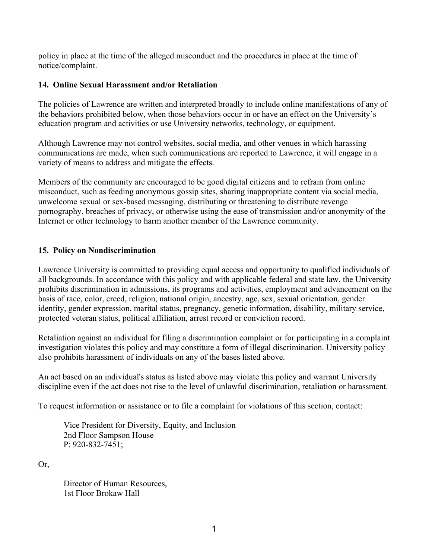policy in place at the time of the alleged misconduct and the procedures in place at the time of notice/complaint.

#### **14. Online Sexual Harassment and/or Retaliation**

The policies of Lawrence are written and interpreted broadly to include online manifestations of any of the behaviors prohibited below, when those behaviors occur in or have an effect on the University's education program and activities or use University networks, technology, or equipment.

Although Lawrence may not control websites, social media, and other venues in which harassing communications are made, when such communications are reported to Lawrence, it will engage in a variety of means to address and mitigate the effects.

Members of the community are encouraged to be good digital citizens and to refrain from online misconduct, such as feeding anonymous gossip sites, sharing inappropriate content via social media, unwelcome sexual or sex-based messaging, distributing or threatening to distribute revenge pornography, breaches of privacy, or otherwise using the ease of transmission and/or anonymity of the Internet or other technology to harm another member of the Lawrence community.

#### **15. Policy on Nondiscrimination**

Lawrence University is committed to providing equal access and opportunity to qualified individuals of all backgrounds. In accordance with this policy and with applicable federal and state law, the University prohibits discrimination in admissions, its programs and activities, employment and advancement on the basis of race, color, creed, religion, national origin, ancestry, age, sex, sexual orientation, gender identity, gender expression, marital status, pregnancy, genetic information, disability, military service, protected veteran status, political affiliation, arrest record or conviction record.

Retaliation against an individual for filing a discrimination complaint or for participating in a complaint investigation violates this policy and may constitute a form of illegal discrimination. University policy also prohibits harassment of individuals on any of the bases listed above.

An act based on an individual's status as listed above may violate this policy and warrant University discipline even if the act does not rise to the level of unlawful discrimination, retaliation or harassment.

To request information or assistance or to file a complaint for violations of this section, contact:

Vice President for Diversity, Equity, and Inclusion 2nd Floor Sampson House P: 920-832-7451;

Or,

Director of Human Resources, 1st Floor Brokaw Hall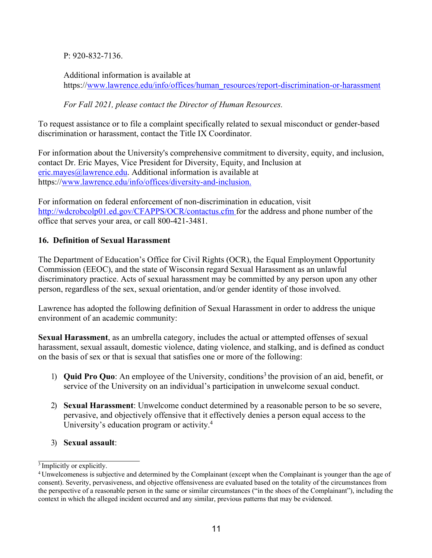P: 920-832-7136.

Additional information is available at https://www.lawrence.edu/info/offices/human\_resources/report-discrimination-or-harassment

*For Fall 2021, please contact the Director of Human Resources.*

To request assistance or to file a complaint specifically related to sexual misconduct or gender-based discrimination or harassment, contact the Title IX Coordinator.

For information about the University's comprehensive commitment to diversity, equity, and inclusion, contact Dr. Eric Mayes, Vice President for Diversity, Equity, and Inclusion at eric.mayes@lawrence.edu. Additional information is available at https://www.lawrence.edu/info/offices/diversity-and-inclusion.

For information on federal enforcement of non-discrimination in education, visit http://wdcrobcolp01.ed.gov/CFAPPS/OCR/contactus.cfm for the address and phone number of the office that serves your area, or call 800-421-3481.

## **16. Definition of Sexual Harassment**

The Department of Education's Office for Civil Rights (OCR), the Equal Employment Opportunity Commission (EEOC), and the state of Wisconsin regard Sexual Harassment as an unlawful discriminatory practice. Acts of sexual harassment may be committed by any person upon any other person, regardless of the sex, sexual orientation, and/or gender identity of those involved.

Lawrence has adopted the following definition of Sexual Harassment in order to address the unique environment of an academic community:

**Sexual Harassment**, as an umbrella category, includes the actual or attempted offenses of sexual harassment, sexual assault, domestic violence, dating violence, and stalking, and is defined as conduct on the basis of sex or that is sexual that satisfies one or more of the following:

- 1) **Quid Pro Quo**: An employee of the University, conditions<sup>3</sup> the provision of an aid, benefit, or service of the University on an individual's participation in unwelcome sexual conduct.
- 2) **Sexual Harassment**: Unwelcome conduct determined by a reasonable person to be so severe, pervasive, and objectively offensive that it effectively denies a person equal access to the University's education program or activity.<sup>4</sup>
- 3) **Sexual assault**:

 $\frac{3}{3}$  Implicitly or explicitly.

<sup>4</sup> Unwelcomeness is subjective and determined by the Complainant (except when the Complainant is younger than the age of consent). Severity, pervasiveness, and objective offensiveness are evaluated based on the totality of the circumstances from the perspective of a reasonable person in the same or similar circumstances ("in the shoes of the Complainant"), including the context in which the alleged incident occurred and any similar, previous patterns that may be evidenced.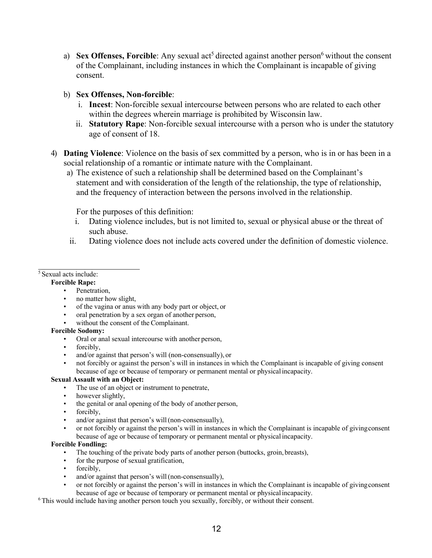a) **Sex Offenses, Forcible**: Any sexual act<sup>5</sup> directed against another person<sup>6</sup> without the consent of the Complainant, including instances in which the Complainant is incapable of giving consent.

#### b) **Sex Offenses, Non-forcible**:

- i. **Incest**: Non-forcible sexual intercourse between persons who are related to each other within the degrees wherein marriage is prohibited by Wisconsin law.
- ii. **Statutory Rape**: Non-forcible sexual intercourse with a person who is under the statutory age of consent of 18.
- 4) **Dating Violence**: Violence on the basis of sex committed by a person, who is in or has been in a social relationship of a romantic or intimate nature with the Complainant.
	- a) The existence of such a relationship shall be determined based on the Complainant's statement and with consideration of the length of the relationship, the type of relationship, and the frequency of interaction between the persons involved in the relationship.

For the purposes of this definition:

- i. Dating violence includes, but is not limited to, sexual or physical abuse or the threat of such abuse.
- ii. Dating violence does not include acts covered under the definition of domestic violence.

5 Sexual acts include:

#### **Forcible Rape:**

- Penetration,
- no matter how slight,
- of the vagina or anus with any body part or object, or
- oral penetration by a sex organ of another person,
- without the consent of the Complainant.

#### **Forcible Sodomy:**

- Oral or anal sexual intercourse with another person,
- forcibly.
- and/or against that person's will (non-consensually), or
- not forcibly or against the person's will in instances in which the Complainant is incapable of giving consent because of age or because of temporary or permanent mental or physical incapacity.

#### **Sexual Assault with an Object:**

- The use of an object or instrument to penetrate,
- however slightly,
- the genital or anal opening of the body of another person,
- forcibly.
- and/or against that person's will (non-consensually),
- or not forcibly or against the person's will in instances in which the Complainant is incapable of givingconsent because of age or because of temporary or permanent mental or physical incapacity.

#### **Forcible Fondling:**

- The touching of the private body parts of another person (buttocks, groin, breasts),
- for the purpose of sexual gratification,
- forcibly,
- and/or against that person's will (non-consensually),
- or not forcibly or against the person's will in instances in which the Complainant is incapable of givingconsent because of age or because of temporary or permanent mental or physical incapacity.
- 6 This would include having another person touch you sexually, forcibly, or without their consent.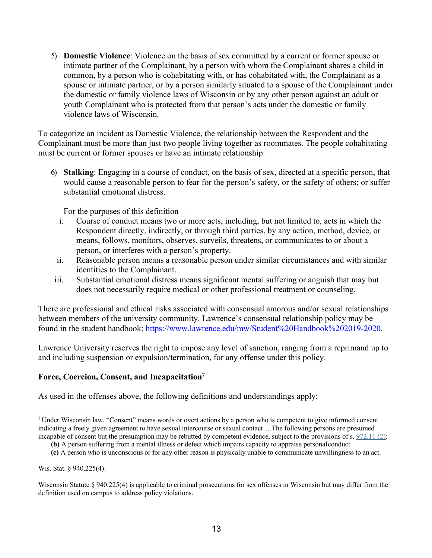5) **Domestic Violence**: Violence on the basis of sex committed by a current or former spouse or intimate partner of the Complainant, by a person with whom the Complainant shares a child in common, by a person who is cohabitating with, or has cohabitated with, the Complainant as a spouse or intimate partner, or by a person similarly situated to a spouse of the Complainant under the domestic or family violence laws of Wisconsin or by any other person against an adult or youth Complainant who is protected from that person's acts under the domestic or family violence laws of Wisconsin.

To categorize an incident as Domestic Violence, the relationship between the Respondent and the Complainant must be more than just two people living together as roommates. The people cohabitating must be current or former spouses or have an intimate relationship.

6) **Stalking**: Engaging in a course of conduct, on the basis of sex, directed at a specific person, that would cause a reasonable person to fear for the person's safety, or the safety of others; or suffer substantial emotional distress.

For the purposes of this definition—

- i. Course of conduct means two or more acts, including, but not limited to, acts in which the Respondent directly, indirectly, or through third parties, by any action, method, device, or means, follows, monitors, observes, surveils, threatens, or communicates to or about a person, or interferes with a person's property.
- ii. Reasonable person means a reasonable person under similar circumstances and with similar identities to the Complainant.
- iii. Substantial emotional distress means significant mental suffering or anguish that may but does not necessarily require medical or other professional treatment or counseling.

There are professional and ethical risks associated with consensual amorous and/or sexual relationships between members of the university community. Lawrence's consensual relationship policy may be found in the student handbook: https://www.lawrence.edu/mw/Student%20Handbook%202019-2020.

Lawrence University reserves the right to impose any level of sanction, ranging from a reprimand up to and including suspension or expulsion/termination, for any offense under this policy.

#### **Force, Coercion, Consent, and Incapacitation7**

As used in the offenses above, the following definitions and understandings apply:

Wis. Stat. § 940.225(4).

<sup>7</sup> Under Wisconsin law, "Consent" means words or overt actions by a person who is competent to give informed consent indicating a freely given agreement to have sexual intercourse or sexual contact….The following persons are presumed incapable of consent but the presumption may be rebutted by competent evidence, subject to the provisions of s. 972.11 (2):

**<sup>(</sup>b)** A person suffering from a mental illness or defect which impairs capacity to appraise personalconduct.

**<sup>(</sup>c)** A person who is unconscious or for any other reason is physically unable to communicate unwillingness to an act.

Wisconsin Statute § 940.225(4) is applicable to criminal prosecutions for sex offenses in Wisconsin but may differ from the definition used on campus to address policy violations.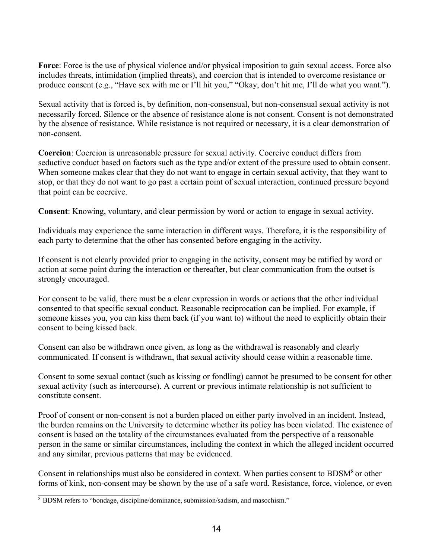**Force**: Force is the use of physical violence and/or physical imposition to gain sexual access. Force also includes threats, intimidation (implied threats), and coercion that is intended to overcome resistance or produce consent (e.g., "Have sex with me or I'll hit you," "Okay, don't hit me, I'll do what you want.").

Sexual activity that is forced is, by definition, non-consensual, but non-consensual sexual activity is not necessarily forced. Silence or the absence of resistance alone is not consent. Consent is not demonstrated by the absence of resistance. While resistance is not required or necessary, it is a clear demonstration of non-consent.

**Coercion**: Coercion is unreasonable pressure for sexual activity. Coercive conduct differs from seductive conduct based on factors such as the type and/or extent of the pressure used to obtain consent. When someone makes clear that they do not want to engage in certain sexual activity, that they want to stop, or that they do not want to go past a certain point of sexual interaction, continued pressure beyond that point can be coercive.

**Consent**: Knowing, voluntary, and clear permission by word or action to engage in sexual activity.

Individuals may experience the same interaction in different ways. Therefore, it is the responsibility of each party to determine that the other has consented before engaging in the activity.

If consent is not clearly provided prior to engaging in the activity, consent may be ratified by word or action at some point during the interaction or thereafter, but clear communication from the outset is strongly encouraged.

For consent to be valid, there must be a clear expression in words or actions that the other individual consented to that specific sexual conduct. Reasonable reciprocation can be implied. For example, if someone kisses you, you can kiss them back (if you want to) without the need to explicitly obtain their consent to being kissed back.

Consent can also be withdrawn once given, as long as the withdrawal is reasonably and clearly communicated. If consent is withdrawn, that sexual activity should cease within a reasonable time.

Consent to some sexual contact (such as kissing or fondling) cannot be presumed to be consent for other sexual activity (such as intercourse). A current or previous intimate relationship is not sufficient to constitute consent.

Proof of consent or non-consent is not a burden placed on either party involved in an incident. Instead, the burden remains on the University to determine whether its policy has been violated. The existence of consent is based on the totality of the circumstances evaluated from the perspective of a reasonable person in the same or similar circumstances, including the context in which the alleged incident occurred and any similar, previous patterns that may be evidenced.

Consent in relationships must also be considered in context. When parties consent to BDSM8 or other forms of kink, non-consent may be shown by the use of a safe word. Resistance, force, violence, or even

<sup>8</sup> BDSM refers to "bondage, discipline/dominance, submission/sadism, and masochism."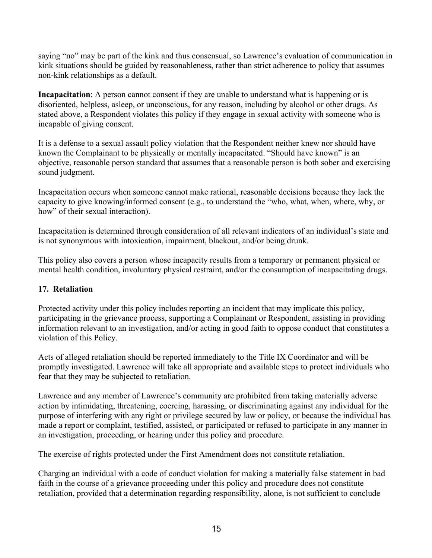saying "no" may be part of the kink and thus consensual, so Lawrence's evaluation of communication in kink situations should be guided by reasonableness, rather than strict adherence to policy that assumes non-kink relationships as a default.

**Incapacitation**: A person cannot consent if they are unable to understand what is happening or is disoriented, helpless, asleep, or unconscious, for any reason, including by alcohol or other drugs. As stated above, a Respondent violates this policy if they engage in sexual activity with someone who is incapable of giving consent.

It is a defense to a sexual assault policy violation that the Respondent neither knew nor should have known the Complainant to be physically or mentally incapacitated. "Should have known" is an objective, reasonable person standard that assumes that a reasonable person is both sober and exercising sound judgment.

Incapacitation occurs when someone cannot make rational, reasonable decisions because they lack the capacity to give knowing/informed consent (e.g., to understand the "who, what, when, where, why, or how" of their sexual interaction).

Incapacitation is determined through consideration of all relevant indicators of an individual's state and is not synonymous with intoxication, impairment, blackout, and/or being drunk.

This policy also covers a person whose incapacity results from a temporary or permanent physical or mental health condition, involuntary physical restraint, and/or the consumption of incapacitating drugs.

#### **17. Retaliation**

Protected activity under this policy includes reporting an incident that may implicate this policy, participating in the grievance process, supporting a Complainant or Respondent, assisting in providing information relevant to an investigation, and/or acting in good faith to oppose conduct that constitutes a violation of this Policy.

Acts of alleged retaliation should be reported immediately to the Title IX Coordinator and will be promptly investigated. Lawrence will take all appropriate and available steps to protect individuals who fear that they may be subjected to retaliation.

Lawrence and any member of Lawrence's community are prohibited from taking materially adverse action by intimidating, threatening, coercing, harassing, or discriminating against any individual for the purpose of interfering with any right or privilege secured by law or policy, or because the individual has made a report or complaint, testified, assisted, or participated or refused to participate in any manner in an investigation, proceeding, or hearing under this policy and procedure.

The exercise of rights protected under the First Amendment does not constitute retaliation.

Charging an individual with a code of conduct violation for making a materially false statement in bad faith in the course of a grievance proceeding under this policy and procedure does not constitute retaliation, provided that a determination regarding responsibility, alone, is not sufficient to conclude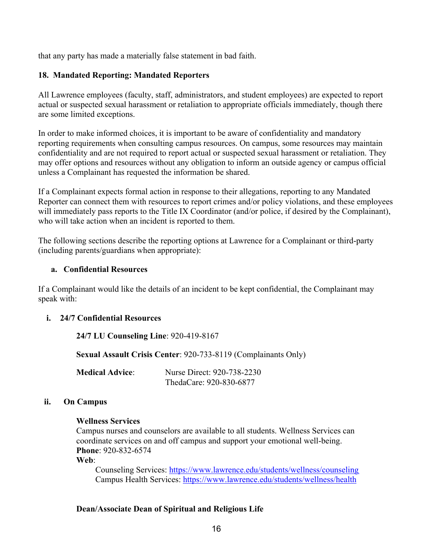that any party has made a materially false statement in bad faith.

#### **18. Mandated Reporting: Mandated Reporters**

All Lawrence employees (faculty, staff, administrators, and student employees) are expected to report actual or suspected sexual harassment or retaliation to appropriate officials immediately, though there are some limited exceptions.

In order to make informed choices, it is important to be aware of confidentiality and mandatory reporting requirements when consulting campus resources. On campus, some resources may maintain confidentiality and are not required to report actual or suspected sexual harassment or retaliation. They may offer options and resources without any obligation to inform an outside agency or campus official unless a Complainant has requested the information be shared.

If a Complainant expects formal action in response to their allegations, reporting to any Mandated Reporter can connect them with resources to report crimes and/or policy violations, and these employees will immediately pass reports to the Title IX Coordinator (and/or police, if desired by the Complainant), who will take action when an incident is reported to them.

The following sections describe the reporting options at Lawrence for a Complainant or third-party (including parents/guardians when appropriate):

#### **a. Confidential Resources**

If a Complainant would like the details of an incident to be kept confidential, the Complainant may speak with:

#### **i. 24/7 Confidential Resources**

**24/7 LU Counseling Line**: 920-419-8167

**Sexual Assault Crisis Center**: 920-733-8119 (Complainants Only)

**Medical Advice**: Nurse Direct: 920-738-2230 ThedaCare: 920-830-6877

#### **ii. On Campus**

#### **Wellness Services**

Campus nurses and counselors are available to all students. Wellness Services can coordinate services on and off campus and support your emotional well-being. **Phone**: 920-832-6574

**Web**:

Counseling Services: https://www.lawrence.edu/students/wellness/counseling Campus Health Services: https://www.lawrence.edu/students/wellness/health

#### **Dean/Associate Dean of Spiritual and Religious Life**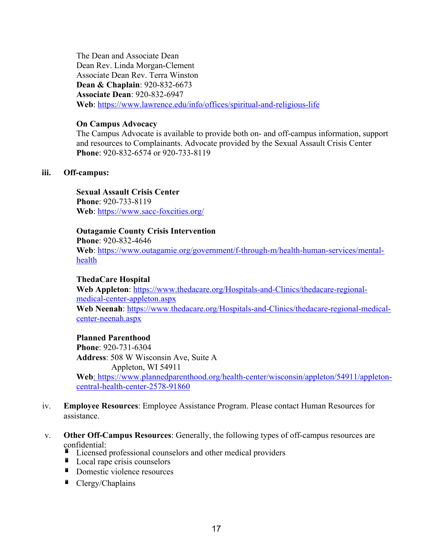The Dean and Associate Dean Dean Rev. Linda Morgan-Clement Associate Dean Rev. Terra Winston **Dean & Chaplain**: 920-832-6673 **Associate Dean**: 920-832-6947 **Web**: https://www.lawrence.edu/info/offices/spiritual-and-religious-life

#### **On Campus Advocacy**

The Campus Advocate is available to provide both on- and off-campus information, support and resources to Complainants. Advocate provided by the Sexual Assault Crisis Center **Phone**: 920-832-6574 or 920-733-8119

#### **iii. Off-campus:**

**Sexual Assault Crisis Center Phone**: 920-733-8119 **Web**: https://www.sacc-foxcities.org/

#### **Outagamie County Crisis Intervention**

**Phone**: 920-832-4646 **Web**: https://www.outagamie.org/government/f-through-m/health-human-services/mentalhealth

#### **ThedaCare Hospital**

**Web Appleton**: https://www.thedacare.org/Hospitals-and-Clinics/thedacare-regionalmedical-center-appleton.aspx **Web Neenah**: https://www.thedacare.org/Hospitals-and-Clinics/thedacare-regional-medicalcenter-neenah.aspx

#### **Planned Parenthood**

**Phone**: 920-731-6304 **Address**: 508 W Wisconsin Ave, Suite A Appleton, WI 54911 **Web**: https://www.plannedparenthood.org/health-center/wisconsin/appleton/54911/appletoncentral-health-center-2578-91860

- iv. **Employee Resources**: Employee Assistance Program. Please contact Human Resources for assistance.
- v. **Other Off-Campus Resources**: Generally, the following types of off-campus resources are confidential:
	- Licensed professional counselors and other medical providers
	- **Local rape crisis counselors**
	- **Domestic violence resources**
	- $\blacksquare$  Clergy/Chaplains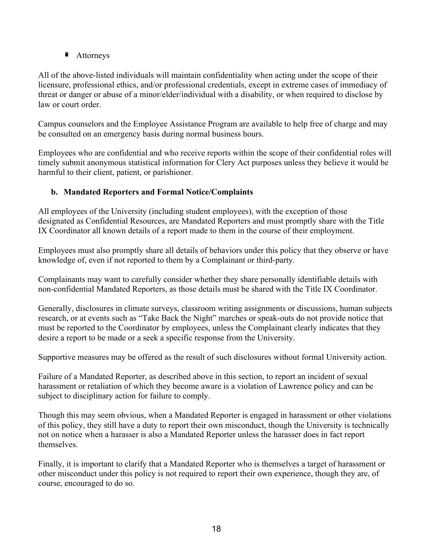■ Attorneys

All of the above-listed individuals will maintain confidentiality when acting under the scope of their licensure, professional ethics, and/or professional credentials, except in extreme cases of immediacy of threat or danger or abuse of a minor/elder/individual with a disability, or when required to disclose by law or court order.

Campus counselors and the Employee Assistance Program are available to help free of charge and may be consulted on an emergency basis during normal business hours.

Employees who are confidential and who receive reports within the scope of their confidential roles will timely submit anonymous statistical information for Clery Act purposes unless they believe it would be harmful to their client, patient, or parishioner.

# **b. Mandated Reporters and Formal Notice/Complaints**

All employees of the University (including student employees), with the exception of those designated as Confidential Resources, are Mandated Reporters and must promptly share with the Title IX Coordinator all known details of a report made to them in the course of their employment.

Employees must also promptly share all details of behaviors under this policy that they observe or have knowledge of, even if not reported to them by a Complainant or third-party.

Complainants may want to carefully consider whether they share personally identifiable details with non-confidential Mandated Reporters, as those details must be shared with the Title IX Coordinator.

Generally, disclosures in climate surveys, classroom writing assignments or discussions, human subjects research, or at events such as "Take Back the Night" marches or speak-outs do not provide notice that must be reported to the Coordinator by employees, unless the Complainant clearly indicates that they desire a report to be made or a seek a specific response from the University.

Supportive measures may be offered as the result of such disclosures without formal University action.

Failure of a Mandated Reporter, as described above in this section, to report an incident of sexual harassment or retaliation of which they become aware is a violation of Lawrence policy and can be subject to disciplinary action for failure to comply.

Though this may seem obvious, when a Mandated Reporter is engaged in harassment or other violations of this policy, they still have a duty to report their own misconduct, though the University is technically not on notice when a harasser is also a Mandated Reporter unless the harasser does in fact report themselves.

Finally, it is important to clarify that a Mandated Reporter who is themselves a target of harassment or other misconduct under this policy is not required to report their own experience, though they are, of course, encouraged to do so.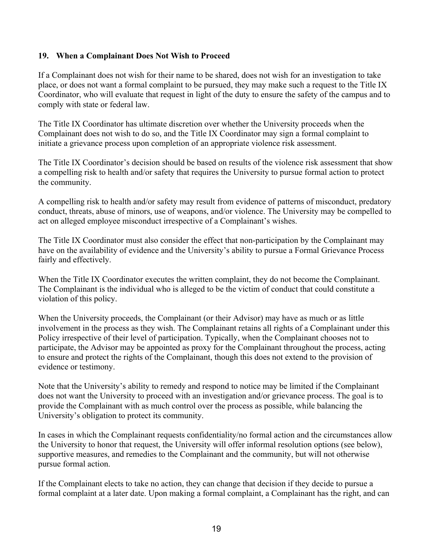#### **19. When a Complainant Does Not Wish to Proceed**

If a Complainant does not wish for their name to be shared, does not wish for an investigation to take place, or does not want a formal complaint to be pursued, they may make such a request to the Title IX Coordinator, who will evaluate that request in light of the duty to ensure the safety of the campus and to comply with state or federal law.

The Title IX Coordinator has ultimate discretion over whether the University proceeds when the Complainant does not wish to do so, and the Title IX Coordinator may sign a formal complaint to initiate a grievance process upon completion of an appropriate violence risk assessment.

The Title IX Coordinator's decision should be based on results of the violence risk assessment that show a compelling risk to health and/or safety that requires the University to pursue formal action to protect the community.

A compelling risk to health and/or safety may result from evidence of patterns of misconduct, predatory conduct, threats, abuse of minors, use of weapons, and/or violence. The University may be compelled to act on alleged employee misconduct irrespective of a Complainant's wishes.

The Title IX Coordinator must also consider the effect that non-participation by the Complainant may have on the availability of evidence and the University's ability to pursue a Formal Grievance Process fairly and effectively.

When the Title IX Coordinator executes the written complaint, they do not become the Complainant. The Complainant is the individual who is alleged to be the victim of conduct that could constitute a violation of this policy.

When the University proceeds, the Complainant (or their Advisor) may have as much or as little involvement in the process as they wish. The Complainant retains all rights of a Complainant under this Policy irrespective of their level of participation. Typically, when the Complainant chooses not to participate, the Advisor may be appointed as proxy for the Complainant throughout the process, acting to ensure and protect the rights of the Complainant, though this does not extend to the provision of evidence or testimony.

Note that the University's ability to remedy and respond to notice may be limited if the Complainant does not want the University to proceed with an investigation and/or grievance process. The goal is to provide the Complainant with as much control over the process as possible, while balancing the University's obligation to protect its community.

In cases in which the Complainant requests confidentiality/no formal action and the circumstances allow the University to honor that request, the University will offer informal resolution options (see below), supportive measures, and remedies to the Complainant and the community, but will not otherwise pursue formal action.

If the Complainant elects to take no action, they can change that decision if they decide to pursue a formal complaint at a later date. Upon making a formal complaint, a Complainant has the right, and can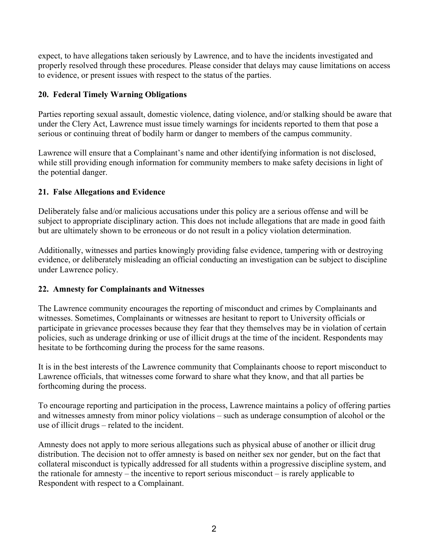expect, to have allegations taken seriously by Lawrence, and to have the incidents investigated and properly resolved through these procedures. Please consider that delays may cause limitations on access to evidence, or present issues with respect to the status of the parties.

## **20. Federal Timely Warning Obligations**

Parties reporting sexual assault, domestic violence, dating violence, and/or stalking should be aware that under the Clery Act, Lawrence must issue timely warnings for incidents reported to them that pose a serious or continuing threat of bodily harm or danger to members of the campus community.

Lawrence will ensure that a Complainant's name and other identifying information is not disclosed, while still providing enough information for community members to make safety decisions in light of the potential danger.

## **21. False Allegations and Evidence**

Deliberately false and/or malicious accusations under this policy are a serious offense and will be subject to appropriate disciplinary action. This does not include allegations that are made in good faith but are ultimately shown to be erroneous or do not result in a policy violation determination.

Additionally, witnesses and parties knowingly providing false evidence, tampering with or destroying evidence, or deliberately misleading an official conducting an investigation can be subject to discipline under Lawrence policy.

#### **22. Amnesty for Complainants and Witnesses**

The Lawrence community encourages the reporting of misconduct and crimes by Complainants and witnesses. Sometimes, Complainants or witnesses are hesitant to report to University officials or participate in grievance processes because they fear that they themselves may be in violation of certain policies, such as underage drinking or use of illicit drugs at the time of the incident. Respondents may hesitate to be forthcoming during the process for the same reasons.

It is in the best interests of the Lawrence community that Complainants choose to report misconduct to Lawrence officials, that witnesses come forward to share what they know, and that all parties be forthcoming during the process.

To encourage reporting and participation in the process, Lawrence maintains a policy of offering parties and witnesses amnesty from minor policy violations – such as underage consumption of alcohol or the use of illicit drugs – related to the incident.

Amnesty does not apply to more serious allegations such as physical abuse of another or illicit drug distribution. The decision not to offer amnesty is based on neither sex nor gender, but on the fact that collateral misconduct is typically addressed for all students within a progressive discipline system, and the rationale for amnesty – the incentive to report serious misconduct – is rarely applicable to Respondent with respect to a Complainant.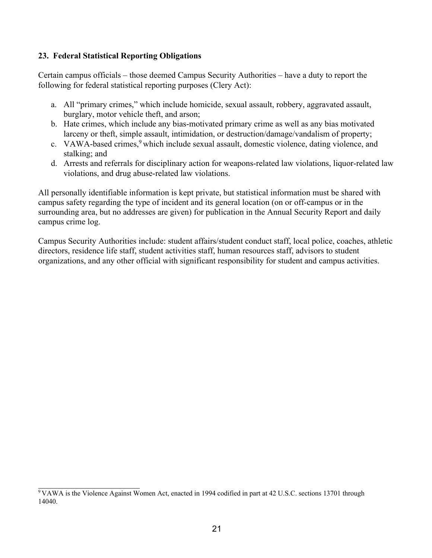#### **23. Federal Statistical Reporting Obligations**

Certain campus officials – those deemed Campus Security Authorities – have a duty to report the following for federal statistical reporting purposes (Clery Act):

- a. All "primary crimes," which include homicide, sexual assault, robbery, aggravated assault, burglary, motor vehicle theft, and arson;
- b. Hate crimes, which include any bias-motivated primary crime as well as any bias motivated larceny or theft, simple assault, intimidation, or destruction/damage/vandalism of property;
- c. VAWA-based crimes,<sup>9</sup> which include sexual assault, domestic violence, dating violence, and stalking; and
- d. Arrests and referrals for disciplinary action for weapons-related law violations, liquor-related law violations, and drug abuse-related law violations.

All personally identifiable information is kept private, but statistical information must be shared with campus safety regarding the type of incident and its general location (on or off-campus or in the surrounding area, but no addresses are given) for publication in the Annual Security Report and daily campus crime log.

Campus Security Authorities include: student affairs/student conduct staff, local police, coaches, athletic directors, residence life staff, student activities staff, human resources staff, advisors to student organizations, and any other official with significant responsibility for student and campus activities.

 $9$  VAWA is the Violence Against Women Act, enacted in 1994 codified in part at 42 U.S.C. sections 13701 through 14040.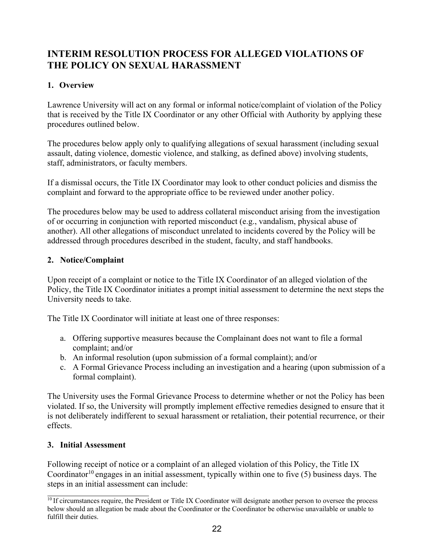# **INTERIM RESOLUTION PROCESS FOR ALLEGED VIOLATIONS OF THE POLICY ON SEXUAL HARASSMENT**

# **1. Overview**

Lawrence University will act on any formal or informal notice/complaint of violation of the Policy that is received by the Title IX Coordinator or any other Official with Authority by applying these procedures outlined below.

The procedures below apply only to qualifying allegations of sexual harassment (including sexual assault, dating violence, domestic violence, and stalking, as defined above) involving students, staff, administrators, or faculty members.

If a dismissal occurs, the Title IX Coordinator may look to other conduct policies and dismiss the complaint and forward to the appropriate office to be reviewed under another policy.

The procedures below may be used to address collateral misconduct arising from the investigation of or occurring in conjunction with reported misconduct (e.g., vandalism, physical abuse of another). All other allegations of misconduct unrelated to incidents covered by the Policy will be addressed through procedures described in the student, faculty, and staff handbooks.

## **2. Notice/Complaint**

Upon receipt of a complaint or notice to the Title IX Coordinator of an alleged violation of the Policy, the Title IX Coordinator initiates a prompt initial assessment to determine the next steps the University needs to take.

The Title IX Coordinator will initiate at least one of three responses:

- a. Offering supportive measures because the Complainant does not want to file a formal complaint; and/or
- b. An informal resolution (upon submission of a formal complaint); and/or
- c. A Formal Grievance Process including an investigation and a hearing (upon submission of a formal complaint).

The University uses the Formal Grievance Process to determine whether or not the Policy has been violated. If so, the University will promptly implement effective remedies designed to ensure that it is not deliberately indifferent to sexual harassment or retaliation, their potential recurrence, or their effects.

#### **3. Initial Assessment**

Following receipt of notice or a complaint of an alleged violation of this Policy, the Title IX Coordinator<sup>10</sup> engages in an initial assessment, typically within one to five  $(5)$  business days. The steps in an initial assessment can include:

 $10$  If circumstances require, the President or Title IX Coordinator will designate another person to oversee the process below should an allegation be made about the Coordinator or the Coordinator be otherwise unavailable or unable to fulfill their duties.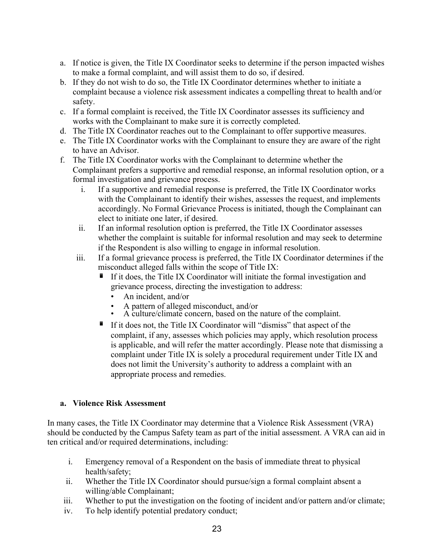- a. If notice is given, the Title IX Coordinator seeks to determine if the person impacted wishes to make a formal complaint, and will assist them to do so, if desired.
- b. If they do not wish to do so, the Title IX Coordinator determines whether to initiate a complaint because a violence risk assessment indicates a compelling threat to health and/or safety.
- c. If a formal complaint is received, the Title IX Coordinator assesses its sufficiency and works with the Complainant to make sure it is correctly completed.
- d. The Title IX Coordinator reaches out to the Complainant to offer supportive measures.
- e. The Title IX Coordinator works with the Complainant to ensure they are aware of the right to have an Advisor.
- f. The Title IX Coordinator works with the Complainant to determine whether the Complainant prefers a supportive and remedial response, an informal resolution option, or a formal investigation and grievance process.
	- i. If a supportive and remedial response is preferred, the Title IX Coordinator works with the Complainant to identify their wishes, assesses the request, and implements accordingly. No Formal Grievance Process is initiated, though the Complainant can elect to initiate one later, if desired.
	- ii. If an informal resolution option is preferred, the Title IX Coordinator assesses whether the complaint is suitable for informal resolution and may seek to determine if the Respondent is also willing to engage in informal resolution.
	- iii. If a formal grievance process is preferred, the Title IX Coordinator determines if the misconduct alleged falls within the scope of Title IX:
		- $\blacksquare$  If it does, the Title IX Coordinator will initiate the formal investigation and grievance process, directing the investigation to address:
			- An incident, and/or
			-
			- A pattern of alleged misconduct, and/or<br>A culture/climate concern, based on the nature of the complaint.
		- If it does not, the Title IX Coordinator will "dismiss" that aspect of the complaint, if any, assesses which policies may apply, which resolution process is applicable, and will refer the matter accordingly. Please note that dismissing a complaint under Title IX is solely a procedural requirement under Title IX and does not limit the University's authority to address a complaint with an appropriate process and remedies.

#### **a. Violence Risk Assessment**

In many cases, the Title IX Coordinator may determine that a Violence Risk Assessment (VRA) should be conducted by the Campus Safety team as part of the initial assessment. A VRA can aid in ten critical and/or required determinations, including:

- i. Emergency removal of a Respondent on the basis of immediate threat to physical health/safety;
- ii. Whether the Title IX Coordinator should pursue/sign a formal complaint absent a willing/able Complainant;
- iii. Whether to put the investigation on the footing of incident and/or pattern and/or climate;
- iv. To help identify potential predatory conduct;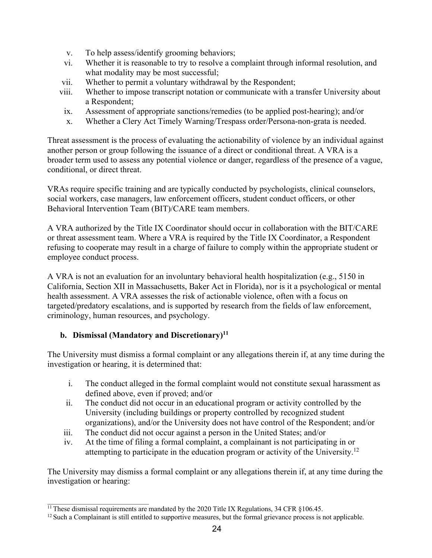- v. To help assess/identify grooming behaviors;
- vi. Whether it is reasonable to try to resolve a complaint through informal resolution, and what modality may be most successful;
- vii. Whether to permit a voluntary withdrawal by the Respondent;
- viii. Whether to impose transcript notation or communicate with a transfer University about a Respondent;
- ix. Assessment of appropriate sanctions/remedies (to be applied post-hearing); and/or
- x. Whether a Clery Act Timely Warning/Trespass order/Persona-non-grata is needed.

Threat assessment is the process of evaluating the actionability of violence by an individual against another person or group following the issuance of a direct or conditional threat. A VRA is a broader term used to assess any potential violence or danger, regardless of the presence of a vague, conditional, or direct threat.

VRAs require specific training and are typically conducted by psychologists, clinical counselors, social workers, case managers, law enforcement officers, student conduct officers, or other Behavioral Intervention Team (BIT)/CARE team members.

A VRA authorized by the Title IX Coordinator should occur in collaboration with the BIT/CARE or threat assessment team. Where a VRA is required by the Title IX Coordinator, a Respondent refusing to cooperate may result in a charge of failure to comply within the appropriate student or employee conduct process.

A VRA is not an evaluation for an involuntary behavioral health hospitalization (e.g., 5150 in California, Section XII in Massachusetts, Baker Act in Florida), nor is it a psychological or mental health assessment. A VRA assesses the risk of actionable violence, often with a focus on targeted/predatory escalations, and is supported by research from the fields of law enforcement, criminology, human resources, and psychology.

# **b. Dismissal (Mandatory and Discretionary)11**

The University must dismiss a formal complaint or any allegations therein if, at any time during the investigation or hearing, it is determined that:

- i. The conduct alleged in the formal complaint would not constitute sexual harassment as defined above, even if proved; and/or
- ii. The conduct did not occur in an educational program or activity controlled by the University (including buildings or property controlled by recognized student organizations), and/or the University does not have control of the Respondent; and/or
- iii. The conduct did not occur against a person in the United States; and/or
- iv. At the time of filing a formal complaint, a complainant is not participating in or attempting to participate in the education program or activity of the University.12

The University may dismiss a formal complaint or any allegations therein if, at any time during the investigation or hearing:

 $\frac{11}{11}$  These dismissal requirements are mandated by the 2020 Title IX Regulations, 34 CFR §106.45.

 $12$  Such a Complainant is still entitled to supportive measures, but the formal grievance process is not applicable.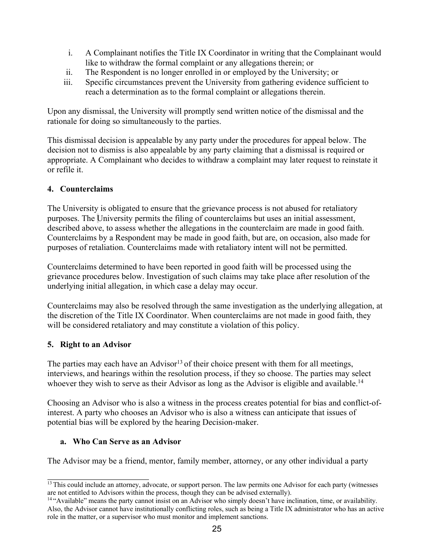- i. A Complainant notifies the Title IX Coordinator in writing that the Complainant would like to withdraw the formal complaint or any allegations therein; or
- ii. The Respondent is no longer enrolled in or employed by the University; or
- iii. Specific circumstances prevent the University from gathering evidence sufficient to reach a determination as to the formal complaint or allegations therein.

Upon any dismissal, the University will promptly send written notice of the dismissal and the rationale for doing so simultaneously to the parties.

This dismissal decision is appealable by any party under the procedures for appeal below. The decision not to dismiss is also appealable by any party claiming that a dismissal is required or appropriate. A Complainant who decides to withdraw a complaint may later request to reinstate it or refile it.

## **4. Counterclaims**

The University is obligated to ensure that the grievance process is not abused for retaliatory purposes. The University permits the filing of counterclaims but uses an initial assessment, described above, to assess whether the allegations in the counterclaim are made in good faith. Counterclaims by a Respondent may be made in good faith, but are, on occasion, also made for purposes of retaliation. Counterclaims made with retaliatory intent will not be permitted.

Counterclaims determined to have been reported in good faith will be processed using the grievance procedures below. Investigation of such claims may take place after resolution of the underlying initial allegation, in which case a delay may occur.

Counterclaims may also be resolved through the same investigation as the underlying allegation, at the discretion of the Title IX Coordinator. When counterclaims are not made in good faith, they will be considered retaliatory and may constitute a violation of this policy.

#### **5. Right to an Advisor**

The parties may each have an Advisor<sup>13</sup> of their choice present with them for all meetings, interviews, and hearings within the resolution process, if they so choose. The parties may select whoever they wish to serve as their Advisor as long as the Advisor is eligible and available.<sup>14</sup>

Choosing an Advisor who is also a witness in the process creates potential for bias and conflict-ofinterest. A party who chooses an Advisor who is also a witness can anticipate that issues of potential bias will be explored by the hearing Decision-maker.

# **a. Who Can Serve as an Advisor**

The Advisor may be a friend, mentor, family member, attorney, or any other individual a party

<sup>&</sup>lt;sup>13</sup> This could include an attorney, advocate, or support person. The law permits one Advisor for each party (witnesses are not entitled to Advisors within the process, though they can be advised externally).

<sup>14 &</sup>quot;Available" means the party cannot insist on an Advisor who simply doesn't have inclination, time, or availability. Also, the Advisor cannot have institutionally conflicting roles, such as being a Title IX administrator who has an active role in the matter, or a supervisor who must monitor and implement sanctions.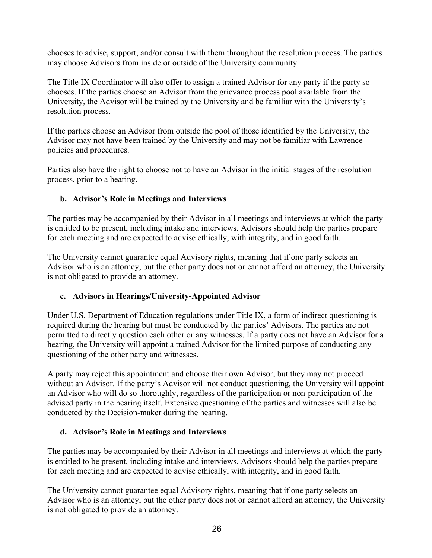chooses to advise, support, and/or consult with them throughout the resolution process. The parties may choose Advisors from inside or outside of the University community.

The Title IX Coordinator will also offer to assign a trained Advisor for any party if the party so chooses. If the parties choose an Advisor from the grievance process pool available from the University, the Advisor will be trained by the University and be familiar with the University's resolution process.

If the parties choose an Advisor from outside the pool of those identified by the University, the Advisor may not have been trained by the University and may not be familiar with Lawrence policies and procedures.

Parties also have the right to choose not to have an Advisor in the initial stages of the resolution process, prior to a hearing.

## **b. Advisor's Role in Meetings and Interviews**

The parties may be accompanied by their Advisor in all meetings and interviews at which the party is entitled to be present, including intake and interviews. Advisors should help the parties prepare for each meeting and are expected to advise ethically, with integrity, and in good faith.

The University cannot guarantee equal Advisory rights, meaning that if one party selects an Advisor who is an attorney, but the other party does not or cannot afford an attorney, the University is not obligated to provide an attorney.

# **c. Advisors in Hearings/University-Appointed Advisor**

Under U.S. Department of Education regulations under Title IX, a form of indirect questioning is required during the hearing but must be conducted by the parties' Advisors. The parties are not permitted to directly question each other or any witnesses. If a party does not have an Advisor for a hearing, the University will appoint a trained Advisor for the limited purpose of conducting any questioning of the other party and witnesses.

A party may reject this appointment and choose their own Advisor, but they may not proceed without an Advisor. If the party's Advisor will not conduct questioning, the University will appoint an Advisor who will do so thoroughly, regardless of the participation or non-participation of the advised party in the hearing itself. Extensive questioning of the parties and witnesses will also be conducted by the Decision-maker during the hearing.

#### **d. Advisor's Role in Meetings and Interviews**

The parties may be accompanied by their Advisor in all meetings and interviews at which the party is entitled to be present, including intake and interviews. Advisors should help the parties prepare for each meeting and are expected to advise ethically, with integrity, and in good faith.

The University cannot guarantee equal Advisory rights, meaning that if one party selects an Advisor who is an attorney, but the other party does not or cannot afford an attorney, the University is not obligated to provide an attorney.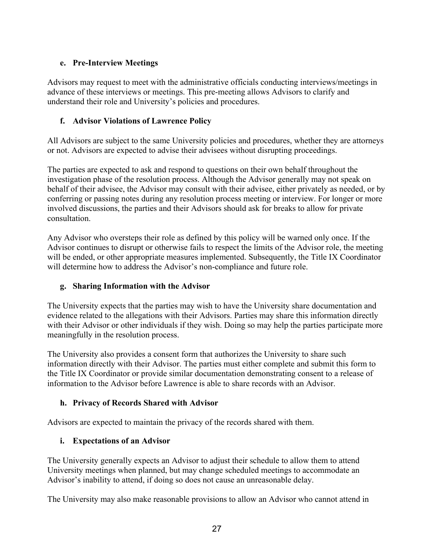# **e. Pre-Interview Meetings**

Advisors may request to meet with the administrative officials conducting interviews/meetings in advance of these interviews or meetings. This pre-meeting allows Advisors to clarify and understand their role and University's policies and procedures.

## **f. Advisor Violations of Lawrence Policy**

All Advisors are subject to the same University policies and procedures, whether they are attorneys or not. Advisors are expected to advise their advisees without disrupting proceedings.

The parties are expected to ask and respond to questions on their own behalf throughout the investigation phase of the resolution process. Although the Advisor generally may not speak on behalf of their advisee, the Advisor may consult with their advisee, either privately as needed, or by conferring or passing notes during any resolution process meeting or interview. For longer or more involved discussions, the parties and their Advisors should ask for breaks to allow for private consultation.

Any Advisor who oversteps their role as defined by this policy will be warned only once. If the Advisor continues to disrupt or otherwise fails to respect the limits of the Advisor role, the meeting will be ended, or other appropriate measures implemented. Subsequently, the Title IX Coordinator will determine how to address the Advisor's non-compliance and future role.

# **g. Sharing Information with the Advisor**

The University expects that the parties may wish to have the University share documentation and evidence related to the allegations with their Advisors. Parties may share this information directly with their Advisor or other individuals if they wish. Doing so may help the parties participate more meaningfully in the resolution process.

The University also provides a consent form that authorizes the University to share such information directly with their Advisor. The parties must either complete and submit this form to the Title IX Coordinator or provide similar documentation demonstrating consent to a release of information to the Advisor before Lawrence is able to share records with an Advisor.

# **h. Privacy of Records Shared with Advisor**

Advisors are expected to maintain the privacy of the records shared with them.

# **i. Expectations of an Advisor**

The University generally expects an Advisor to adjust their schedule to allow them to attend University meetings when planned, but may change scheduled meetings to accommodate an Advisor's inability to attend, if doing so does not cause an unreasonable delay.

The University may also make reasonable provisions to allow an Advisor who cannot attend in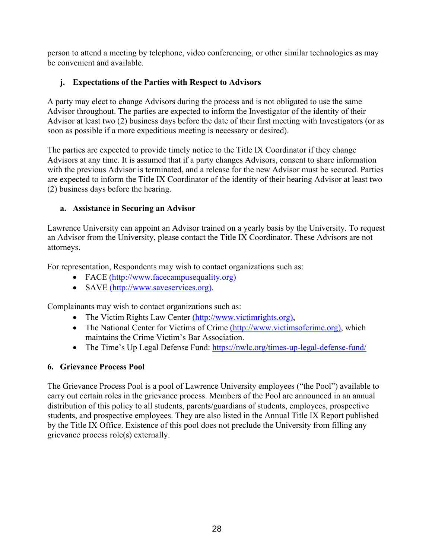person to attend a meeting by telephone, video conferencing, or other similar technologies as may be convenient and available.

# **j. Expectations of the Parties with Respect to Advisors**

A party may elect to change Advisors during the process and is not obligated to use the same Advisor throughout. The parties are expected to inform the Investigator of the identity of their Advisor at least two (2) business days before the date of their first meeting with Investigators (or as soon as possible if a more expeditious meeting is necessary or desired).

The parties are expected to provide timely notice to the Title IX Coordinator if they change Advisors at any time. It is assumed that if a party changes Advisors, consent to share information with the previous Advisor is terminated, and a release for the new Advisor must be secured. Parties are expected to inform the Title IX Coordinator of the identity of their hearing Advisor at least two (2) business days before the hearing.

#### **a. Assistance in Securing an Advisor**

Lawrence University can appoint an Advisor trained on a yearly basis by the University. To request an Advisor from the University, please contact the Title IX Coordinator. These Advisors are not attorneys.

For representation, Respondents may wish to contact organizations such as:

- FACE (http://www.facecampusequality.org)
- SAVE (http://www.saveservices.org).

Complainants may wish to contact organizations such as:

- The Victim Rights Law Center (http://www.victimrights.org),
- The National Center for Victims of Crime (http://www.victimsofcrime.org), which maintains the Crime Victim's Bar Association.
- The Time's Up Legal Defense Fund: https://nwlc.org/times-up-legal-defense-fund/

#### **6. Grievance Process Pool**

The Grievance Process Pool is a pool of Lawrence University employees ("the Pool") available to carry out certain roles in the grievance process. Members of the Pool are announced in an annual distribution of this policy to all students, parents/guardians of students, employees, prospective students, and prospective employees. They are also listed in the Annual Title IX Report published by the Title IX Office. Existence of this pool does not preclude the University from filling any grievance process role(s) externally.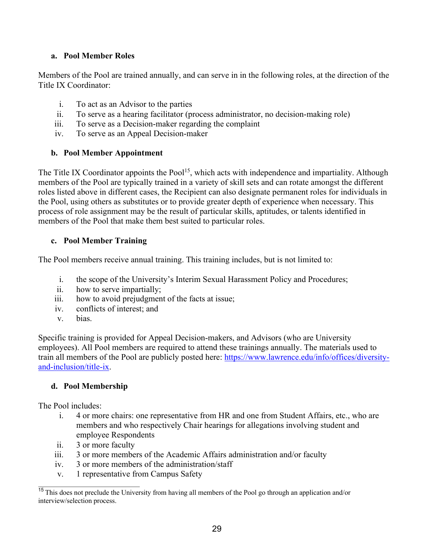### **a. Pool Member Roles**

Members of the Pool are trained annually, and can serve in in the following roles, at the direction of the Title IX Coordinator:

- i. To act as an Advisor to the parties
- ii. To serve as a hearing facilitator (process administrator, no decision-making role)
- iii. To serve as a Decision-maker regarding the complaint
- iv. To serve as an Appeal Decision-maker

## **b. Pool Member Appointment**

The Title IX Coordinator appoints the Pool<sup>15</sup>, which acts with independence and impartiality. Although members of the Pool are typically trained in a variety of skill sets and can rotate amongst the different roles listed above in different cases, the Recipient can also designate permanent roles for individuals in the Pool, using others as substitutes or to provide greater depth of experience when necessary. This process of role assignment may be the result of particular skills, aptitudes, or talents identified in members of the Pool that make them best suited to particular roles.

# **c. Pool Member Training**

The Pool members receive annual training. This training includes, but is not limited to:

- i. the scope of the University's Interim Sexual Harassment Policy and Procedures;
- ii. how to serve impartially;
- iii. how to avoid prejudgment of the facts at issue;
- iv. conflicts of interest; and
- v. bias.

Specific training is provided for Appeal Decision-makers, and Advisors (who are University employees). All Pool members are required to attend these trainings annually. The materials used to train all members of the Pool are publicly posted here: https://www.lawrence.edu/info/offices/diversityand-inclusion/title-ix.

# **d. Pool Membership**

The Pool includes:

- i. 4 or more chairs: one representative from HR and one from Student Affairs, etc., who are members and who respectively Chair hearings for allegations involving student and employee Respondents
- ii. 3 or more faculty
- iii. 3 or more members of the Academic Affairs administration and/or faculty
- iv. 3 or more members of the administration/staff
- v. 1 representative from Campus Safety

<sup>&</sup>lt;sup>15</sup> This does not preclude the University from having all members of the Pool go through an application and/or interview/selection process.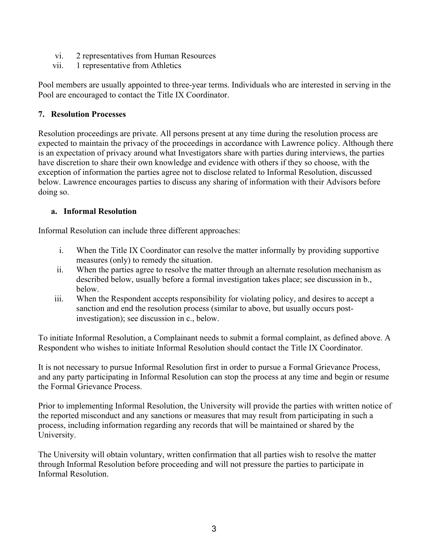- vi. 2 representatives from Human Resources
- vii. 1 representative from Athletics

Pool members are usually appointed to three-year terms. Individuals who are interested in serving in the Pool are encouraged to contact the Title IX Coordinator.

### **7. Resolution Processes**

Resolution proceedings are private. All persons present at any time during the resolution process are expected to maintain the privacy of the proceedings in accordance with Lawrence policy. Although there is an expectation of privacy around what Investigators share with parties during interviews, the parties have discretion to share their own knowledge and evidence with others if they so choose, with the exception of information the parties agree not to disclose related to Informal Resolution, discussed below. Lawrence encourages parties to discuss any sharing of information with their Advisors before doing so.

## **a. Informal Resolution**

Informal Resolution can include three different approaches:

- i. When the Title IX Coordinator can resolve the matter informally by providing supportive measures (only) to remedy the situation.
- ii. When the parties agree to resolve the matter through an alternate resolution mechanism as described below, usually before a formal investigation takes place; see discussion in b., below.
- iii. When the Respondent accepts responsibility for violating policy, and desires to accept a sanction and end the resolution process (similar to above, but usually occurs postinvestigation); see discussion in c., below.

To initiate Informal Resolution, a Complainant needs to submit a formal complaint, as defined above. A Respondent who wishes to initiate Informal Resolution should contact the Title IX Coordinator.

It is not necessary to pursue Informal Resolution first in order to pursue a Formal Grievance Process, and any party participating in Informal Resolution can stop the process at any time and begin or resume the Formal Grievance Process.

Prior to implementing Informal Resolution, the University will provide the parties with written notice of the reported misconduct and any sanctions or measures that may result from participating in such a process, including information regarding any records that will be maintained or shared by the University.

The University will obtain voluntary, written confirmation that all parties wish to resolve the matter through Informal Resolution before proceeding and will not pressure the parties to participate in Informal Resolution.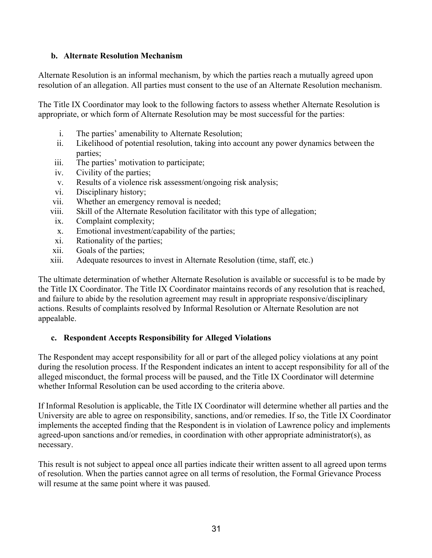#### **b. Alternate Resolution Mechanism**

Alternate Resolution is an informal mechanism, by which the parties reach a mutually agreed upon resolution of an allegation. All parties must consent to the use of an Alternate Resolution mechanism.

The Title IX Coordinator may look to the following factors to assess whether Alternate Resolution is appropriate, or which form of Alternate Resolution may be most successful for the parties:

- i. The parties' amenability to Alternate Resolution;
- ii. Likelihood of potential resolution, taking into account any power dynamics between the parties;
- iii. The parties' motivation to participate;
- iv. Civility of the parties;
- v. Results of a violence risk assessment/ongoing risk analysis;
- vi. Disciplinary history;
- vii. Whether an emergency removal is needed;
- viii. Skill of the Alternate Resolution facilitator with this type of allegation;
- ix. Complaint complexity;
- x. Emotional investment/capability of the parties;
- xi. Rationality of the parties;
- xii. Goals of the parties;
- xiii. Adequate resources to invest in Alternate Resolution (time, staff, etc.)

The ultimate determination of whether Alternate Resolution is available or successful is to be made by the Title IX Coordinator. The Title IX Coordinator maintains records of any resolution that is reached, and failure to abide by the resolution agreement may result in appropriate responsive/disciplinary actions. Results of complaints resolved by Informal Resolution or Alternate Resolution are not appealable.

#### **c. Respondent Accepts Responsibility for Alleged Violations**

The Respondent may accept responsibility for all or part of the alleged policy violations at any point during the resolution process. If the Respondent indicates an intent to accept responsibility for all of the alleged misconduct, the formal process will be paused, and the Title IX Coordinator will determine whether Informal Resolution can be used according to the criteria above.

If Informal Resolution is applicable, the Title IX Coordinator will determine whether all parties and the University are able to agree on responsibility, sanctions, and/or remedies. If so, the Title IX Coordinator implements the accepted finding that the Respondent is in violation of Lawrence policy and implements agreed-upon sanctions and/or remedies, in coordination with other appropriate administrator(s), as necessary.

This result is not subject to appeal once all parties indicate their written assent to all agreed upon terms of resolution. When the parties cannot agree on all terms of resolution, the Formal Grievance Process will resume at the same point where it was paused.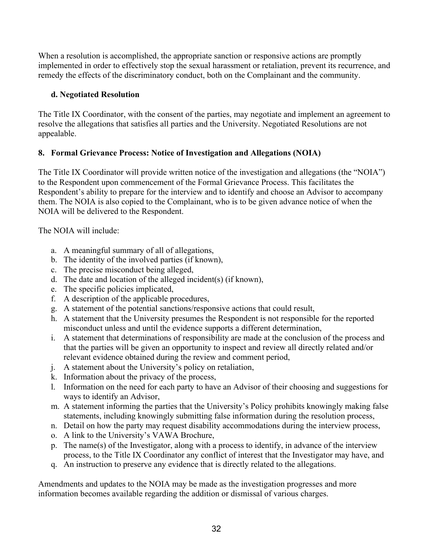When a resolution is accomplished, the appropriate sanction or responsive actions are promptly implemented in order to effectively stop the sexual harassment or retaliation, prevent its recurrence, and remedy the effects of the discriminatory conduct, both on the Complainant and the community.

# **d. Negotiated Resolution**

The Title IX Coordinator, with the consent of the parties, may negotiate and implement an agreement to resolve the allegations that satisfies all parties and the University. Negotiated Resolutions are not appealable.

# **8. Formal Grievance Process: Notice of Investigation and Allegations (NOIA)**

The Title IX Coordinator will provide written notice of the investigation and allegations (the "NOIA") to the Respondent upon commencement of the Formal Grievance Process. This facilitates the Respondent's ability to prepare for the interview and to identify and choose an Advisor to accompany them. The NOIA is also copied to the Complainant, who is to be given advance notice of when the NOIA will be delivered to the Respondent.

The NOIA will include:

- a. A meaningful summary of all of allegations,
- b. The identity of the involved parties (if known),
- c. The precise misconduct being alleged,
- d. The date and location of the alleged incident(s) (if known),
- e. The specific policies implicated,
- f. A description of the applicable procedures,
- g. A statement of the potential sanctions/responsive actions that could result,
- h. A statement that the University presumes the Respondent is not responsible for the reported misconduct unless and until the evidence supports a different determination,
- i. A statement that determinations of responsibility are made at the conclusion of the process and that the parties will be given an opportunity to inspect and review all directly related and/or relevant evidence obtained during the review and comment period,
- j. A statement about the University's policy on retaliation,
- k. Information about the privacy of the process,
- l. Information on the need for each party to have an Advisor of their choosing and suggestions for ways to identify an Advisor,
- m. A statement informing the parties that the University's Policy prohibits knowingly making false statements, including knowingly submitting false information during the resolution process,
- n. Detail on how the party may request disability accommodations during the interview process,
- o. A link to the University's VAWA Brochure,
- p. The name(s) of the Investigator, along with a process to identify, in advance of the interview process, to the Title IX Coordinator any conflict of interest that the Investigator may have, and
- q. An instruction to preserve any evidence that is directly related to the allegations.

Amendments and updates to the NOIA may be made as the investigation progresses and more information becomes available regarding the addition or dismissal of various charges.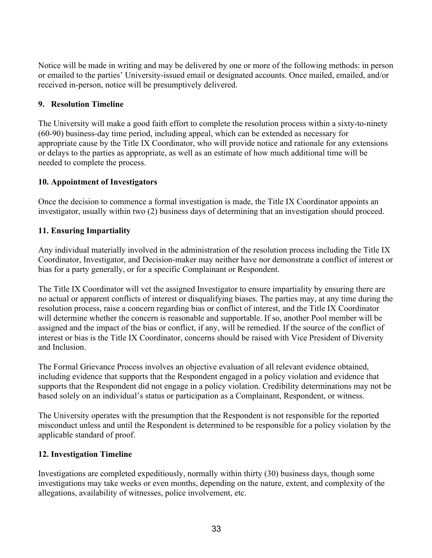Notice will be made in writing and may be delivered by one or more of the following methods: in person or emailed to the parties' University-issued email or designated accounts. Once mailed, emailed, and/or received in-person, notice will be presumptively delivered.

# **9. Resolution Timeline**

The University will make a good faith effort to complete the resolution process within a sixty-to-ninety (60-90) business-day time period, including appeal, which can be extended as necessary for appropriate cause by the Title IX Coordinator, who will provide notice and rationale for any extensions or delays to the parties as appropriate, as well as an estimate of how much additional time will be needed to complete the process.

## **10. Appointment of Investigators**

Once the decision to commence a formal investigation is made, the Title IX Coordinator appoints an investigator, usually within two (2) business days of determining that an investigation should proceed.

## **11. Ensuring Impartiality**

Any individual materially involved in the administration of the resolution process including the Title IX Coordinator, Investigator, and Decision-maker may neither have nor demonstrate a conflict of interest or bias for a party generally, or for a specific Complainant or Respondent.

The Title IX Coordinator will vet the assigned Investigator to ensure impartiality by ensuring there are no actual or apparent conflicts of interest or disqualifying biases. The parties may, at any time during the resolution process, raise a concern regarding bias or conflict of interest, and the Title IX Coordinator will determine whether the concern is reasonable and supportable. If so, another Pool member will be assigned and the impact of the bias or conflict, if any, will be remedied. If the source of the conflict of interest or bias is the Title IX Coordinator, concerns should be raised with Vice President of Diversity and Inclusion.

The Formal Grievance Process involves an objective evaluation of all relevant evidence obtained, including evidence that supports that the Respondent engaged in a policy violation and evidence that supports that the Respondent did not engage in a policy violation. Credibility determinations may not be based solely on an individual's status or participation as a Complainant, Respondent, or witness.

The University operates with the presumption that the Respondent is not responsible for the reported misconduct unless and until the Respondent is determined to be responsible for a policy violation by the applicable standard of proof.

#### **12. Investigation Timeline**

Investigations are completed expeditiously, normally within thirty (30) business days, though some investigations may take weeks or even months, depending on the nature, extent, and complexity of the allegations, availability of witnesses, police involvement, etc.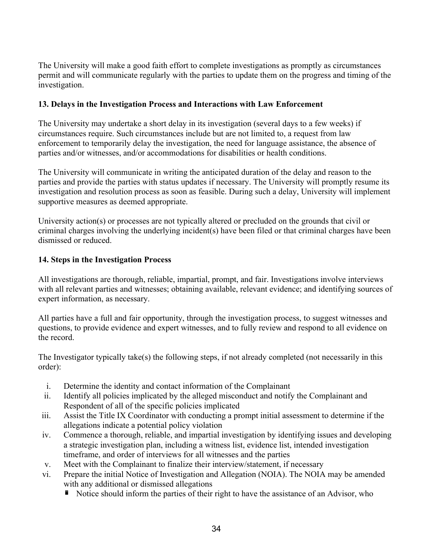The University will make a good faith effort to complete investigations as promptly as circumstances permit and will communicate regularly with the parties to update them on the progress and timing of the investigation.

### **13. Delays in the Investigation Process and Interactions with Law Enforcement**

The University may undertake a short delay in its investigation (several days to a few weeks) if circumstances require. Such circumstances include but are not limited to, a request from law enforcement to temporarily delay the investigation, the need for language assistance, the absence of parties and/or witnesses, and/or accommodations for disabilities or health conditions.

The University will communicate in writing the anticipated duration of the delay and reason to the parties and provide the parties with status updates if necessary. The University will promptly resume its investigation and resolution process as soon as feasible. During such a delay, University will implement supportive measures as deemed appropriate.

University action(s) or processes are not typically altered or precluded on the grounds that civil or criminal charges involving the underlying incident(s) have been filed or that criminal charges have been dismissed or reduced.

## **14. Steps in the Investigation Process**

All investigations are thorough, reliable, impartial, prompt, and fair. Investigations involve interviews with all relevant parties and witnesses; obtaining available, relevant evidence; and identifying sources of expert information, as necessary.

All parties have a full and fair opportunity, through the investigation process, to suggest witnesses and questions, to provide evidence and expert witnesses, and to fully review and respond to all evidence on the record.

The Investigator typically take(s) the following steps, if not already completed (not necessarily in this order):

- i. Determine the identity and contact information of the Complainant
- ii. Identify all policies implicated by the alleged misconduct and notify the Complainant and Respondent of all of the specific policies implicated
- iii. Assist the Title IX Coordinator with conducting a prompt initial assessment to determine if the allegations indicate a potential policy violation
- iv. Commence a thorough, reliable, and impartial investigation by identifying issues and developing a strategic investigation plan, including a witness list, evidence list, intended investigation timeframe, and order of interviews for all witnesses and the parties
- v. Meet with the Complainant to finalize their interview/statement, if necessary
- vi. Prepare the initial Notice of Investigation and Allegation (NOIA). The NOIA may be amended with any additional or dismissed allegations
	- Notice should inform the parties of their right to have the assistance of an Advisor, who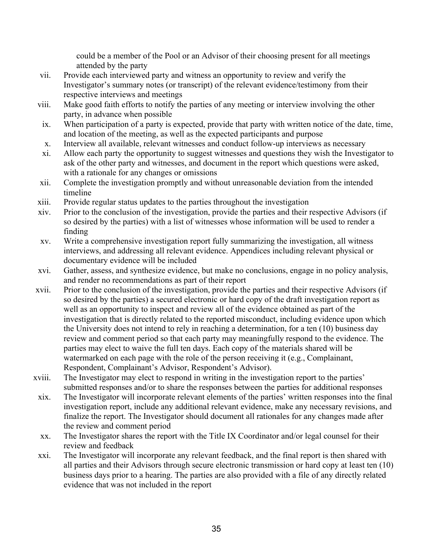could be a member of the Pool or an Advisor of their choosing present for all meetings attended by the party

- vii. Provide each interviewed party and witness an opportunity to review and verify the Investigator's summary notes (or transcript) of the relevant evidence/testimony from their respective interviews and meetings
- viii. Make good faith efforts to notify the parties of any meeting or interview involving the other party, in advance when possible
- ix. When participation of a party is expected, provide that party with written notice of the date, time, and location of the meeting, as well as the expected participants and purpose
- x. Interview all available, relevant witnesses and conduct follow-up interviews as necessary
- xi. Allow each party the opportunity to suggest witnesses and questions they wish the Investigator to ask of the other party and witnesses, and document in the report which questions were asked, with a rationale for any changes or omissions
- xii. Complete the investigation promptly and without unreasonable deviation from the intended timeline
- xiii. Provide regular status updates to the parties throughout the investigation
- xiv. Prior to the conclusion of the investigation, provide the parties and their respective Advisors (if so desired by the parties) with a list of witnesses whose information will be used to render a finding
- xv. Write a comprehensive investigation report fully summarizing the investigation, all witness interviews, and addressing all relevant evidence. Appendices including relevant physical or documentary evidence will be included
- xvi. Gather, assess, and synthesize evidence, but make no conclusions, engage in no policy analysis, and render no recommendations as part of their report
- xvii. Prior to the conclusion of the investigation, provide the parties and their respective Advisors (if so desired by the parties) a secured electronic or hard copy of the draft investigation report as well as an opportunity to inspect and review all of the evidence obtained as part of the investigation that is directly related to the reported misconduct, including evidence upon which the University does not intend to rely in reaching a determination, for a ten (10) business day review and comment period so that each party may meaningfully respond to the evidence. The parties may elect to waive the full ten days. Each copy of the materials shared will be watermarked on each page with the role of the person receiving it (e.g., Complainant, Respondent, Complainant's Advisor, Respondent's Advisor).
- xviii. The Investigator may elect to respond in writing in the investigation report to the parties' submitted responses and/or to share the responses between the parties for additional responses
- xix. The Investigator will incorporate relevant elements of the parties' written responses into the final investigation report, include any additional relevant evidence, make any necessary revisions, and finalize the report. The Investigator should document all rationales for any changes made after the review and comment period
- xx. The Investigator shares the report with the Title IX Coordinator and/or legal counsel for their review and feedback
- xxi. The Investigator will incorporate any relevant feedback, and the final report is then shared with all parties and their Advisors through secure electronic transmission or hard copy at least ten (10) business days prior to a hearing. The parties are also provided with a file of any directly related evidence that was not included in the report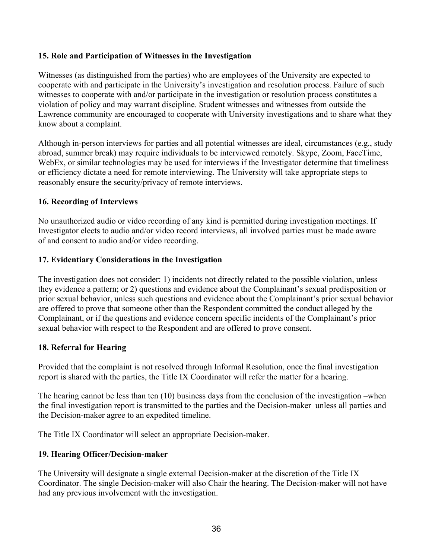#### **15. Role and Participation of Witnesses in the Investigation**

Witnesses (as distinguished from the parties) who are employees of the University are expected to cooperate with and participate in the University's investigation and resolution process. Failure of such witnesses to cooperate with and/or participate in the investigation or resolution process constitutes a violation of policy and may warrant discipline. Student witnesses and witnesses from outside the Lawrence community are encouraged to cooperate with University investigations and to share what they know about a complaint.

Although in-person interviews for parties and all potential witnesses are ideal, circumstances (e.g., study abroad, summer break) may require individuals to be interviewed remotely. Skype, Zoom, FaceTime, WebEx, or similar technologies may be used for interviews if the Investigator determine that timeliness or efficiency dictate a need for remote interviewing. The University will take appropriate steps to reasonably ensure the security/privacy of remote interviews.

#### **16. Recording of Interviews**

No unauthorized audio or video recording of any kind is permitted during investigation meetings. If Investigator elects to audio and/or video record interviews, all involved parties must be made aware of and consent to audio and/or video recording.

#### **17. Evidentiary Considerations in the Investigation**

The investigation does not consider: 1) incidents not directly related to the possible violation, unless they evidence a pattern; or 2) questions and evidence about the Complainant's sexual predisposition or prior sexual behavior, unless such questions and evidence about the Complainant's prior sexual behavior are offered to prove that someone other than the Respondent committed the conduct alleged by the Complainant, or if the questions and evidence concern specific incidents of the Complainant's prior sexual behavior with respect to the Respondent and are offered to prove consent.

#### **18. Referral for Hearing**

Provided that the complaint is not resolved through Informal Resolution, once the final investigation report is shared with the parties, the Title IX Coordinator will refer the matter for a hearing.

The hearing cannot be less than ten (10) business days from the conclusion of the investigation –when the final investigation report is transmitted to the parties and the Decision-maker–unless all parties and the Decision-maker agree to an expedited timeline.

The Title IX Coordinator will select an appropriate Decision-maker.

#### **19. Hearing Officer/Decision-maker**

The University will designate a single external Decision-maker at the discretion of the Title IX Coordinator. The single Decision-maker will also Chair the hearing. The Decision-maker will not have had any previous involvement with the investigation.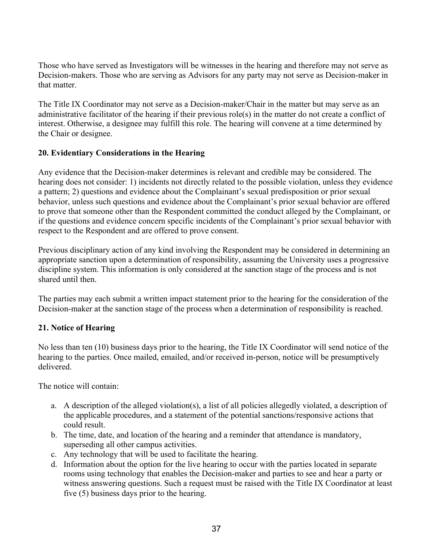Those who have served as Investigators will be witnesses in the hearing and therefore may not serve as Decision-makers. Those who are serving as Advisors for any party may not serve as Decision-maker in that matter.

The Title IX Coordinator may not serve as a Decision-maker/Chair in the matter but may serve as an administrative facilitator of the hearing if their previous role(s) in the matter do not create a conflict of interest. Otherwise, a designee may fulfill this role. The hearing will convene at a time determined by the Chair or designee.

#### **20. Evidentiary Considerations in the Hearing**

Any evidence that the Decision-maker determines is relevant and credible may be considered. The hearing does not consider: 1) incidents not directly related to the possible violation, unless they evidence a pattern; 2) questions and evidence about the Complainant's sexual predisposition or prior sexual behavior, unless such questions and evidence about the Complainant's prior sexual behavior are offered to prove that someone other than the Respondent committed the conduct alleged by the Complainant, or if the questions and evidence concern specific incidents of the Complainant's prior sexual behavior with respect to the Respondent and are offered to prove consent.

Previous disciplinary action of any kind involving the Respondent may be considered in determining an appropriate sanction upon a determination of responsibility, assuming the University uses a progressive discipline system. This information is only considered at the sanction stage of the process and is not shared until then.

The parties may each submit a written impact statement prior to the hearing for the consideration of the Decision-maker at the sanction stage of the process when a determination of responsibility is reached.

# **21. Notice of Hearing**

No less than ten (10) business days prior to the hearing, the Title IX Coordinator will send notice of the hearing to the parties. Once mailed, emailed, and/or received in-person, notice will be presumptively delivered.

The notice will contain:

- a. A description of the alleged violation(s), a list of all policies allegedly violated, a description of the applicable procedures, and a statement of the potential sanctions/responsive actions that could result.
- b. The time, date, and location of the hearing and a reminder that attendance is mandatory, superseding all other campus activities.
- c. Any technology that will be used to facilitate the hearing.
- d. Information about the option for the live hearing to occur with the parties located in separate rooms using technology that enables the Decision-maker and parties to see and hear a party or witness answering questions. Such a request must be raised with the Title IX Coordinator at least five (5) business days prior to the hearing.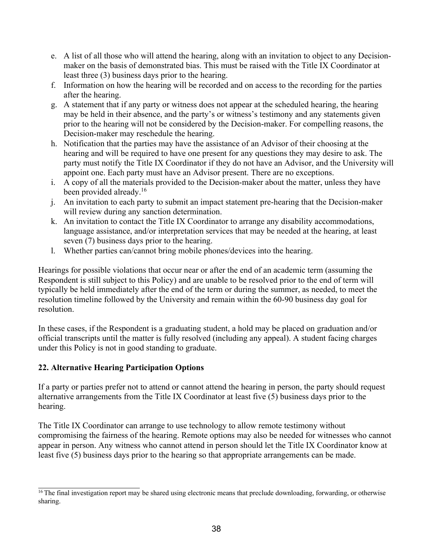- e. A list of all those who will attend the hearing, along with an invitation to object to any Decisionmaker on the basis of demonstrated bias. This must be raised with the Title IX Coordinator at least three (3) business days prior to the hearing.
- f. Information on how the hearing will be recorded and on access to the recording for the parties after the hearing.
- g. A statement that if any party or witness does not appear at the scheduled hearing, the hearing may be held in their absence, and the party's or witness's testimony and any statements given prior to the hearing will not be considered by the Decision-maker. For compelling reasons, the Decision-maker may reschedule the hearing.
- h. Notification that the parties may have the assistance of an Advisor of their choosing at the hearing and will be required to have one present for any questions they may desire to ask. The party must notify the Title IX Coordinator if they do not have an Advisor, and the University will appoint one. Each party must have an Advisor present. There are no exceptions.
- i. A copy of all the materials provided to the Decision-maker about the matter, unless they have been provided already.<sup>16</sup>
- j. An invitation to each party to submit an impact statement pre-hearing that the Decision-maker will review during any sanction determination.
- k. An invitation to contact the Title IX Coordinator to arrange any disability accommodations, language assistance, and/or interpretation services that may be needed at the hearing, at least seven (7) business days prior to the hearing.
- l. Whether parties can/cannot bring mobile phones/devices into the hearing.

Hearings for possible violations that occur near or after the end of an academic term (assuming the Respondent is still subject to this Policy) and are unable to be resolved prior to the end of term will typically be held immediately after the end of the term or during the summer, as needed, to meet the resolution timeline followed by the University and remain within the 60-90 business day goal for resolution.

In these cases, if the Respondent is a graduating student, a hold may be placed on graduation and/or official transcripts until the matter is fully resolved (including any appeal). A student facing charges under this Policy is not in good standing to graduate.

# **22. Alternative Hearing Participation Options**

If a party or parties prefer not to attend or cannot attend the hearing in person, the party should request alternative arrangements from the Title IX Coordinator at least five (5) business days prior to the hearing.

The Title IX Coordinator can arrange to use technology to allow remote testimony without compromising the fairness of the hearing. Remote options may also be needed for witnesses who cannot appear in person. Any witness who cannot attend in person should let the Title IX Coordinator know at least five (5) business days prior to the hearing so that appropriate arrangements can be made.

<sup>&</sup>lt;sup>16</sup> The final investigation report may be shared using electronic means that preclude downloading, forwarding, or otherwise sharing.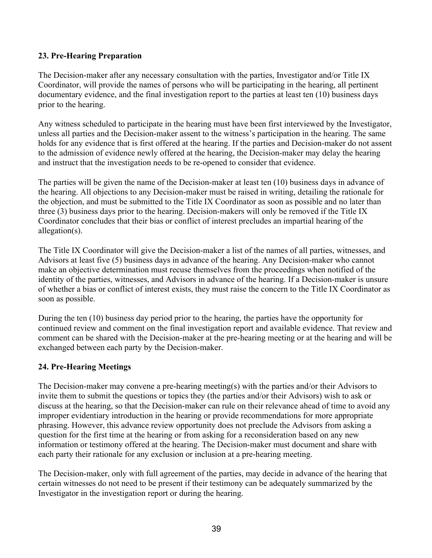### **23. Pre-Hearing Preparation**

The Decision-maker after any necessary consultation with the parties, Investigator and/or Title IX Coordinator, will provide the names of persons who will be participating in the hearing, all pertinent documentary evidence, and the final investigation report to the parties at least ten (10) business days prior to the hearing.

Any witness scheduled to participate in the hearing must have been first interviewed by the Investigator, unless all parties and the Decision-maker assent to the witness's participation in the hearing. The same holds for any evidence that is first offered at the hearing. If the parties and Decision-maker do not assent to the admission of evidence newly offered at the hearing, the Decision-maker may delay the hearing and instruct that the investigation needs to be re-opened to consider that evidence.

The parties will be given the name of the Decision-maker at least ten (10) business days in advance of the hearing. All objections to any Decision-maker must be raised in writing, detailing the rationale for the objection, and must be submitted to the Title IX Coordinator as soon as possible and no later than three (3) business days prior to the hearing. Decision-makers will only be removed if the Title IX Coordinator concludes that their bias or conflict of interest precludes an impartial hearing of the allegation(s).

The Title IX Coordinator will give the Decision-maker a list of the names of all parties, witnesses, and Advisors at least five (5) business days in advance of the hearing. Any Decision-maker who cannot make an objective determination must recuse themselves from the proceedings when notified of the identity of the parties, witnesses, and Advisors in advance of the hearing. If a Decision-maker is unsure of whether a bias or conflict of interest exists, they must raise the concern to the Title IX Coordinator as soon as possible.

During the ten (10) business day period prior to the hearing, the parties have the opportunity for continued review and comment on the final investigation report and available evidence. That review and comment can be shared with the Decision-maker at the pre-hearing meeting or at the hearing and will be exchanged between each party by the Decision-maker.

#### **24. Pre-Hearing Meetings**

The Decision-maker may convene a pre-hearing meeting(s) with the parties and/or their Advisors to invite them to submit the questions or topics they (the parties and/or their Advisors) wish to ask or discuss at the hearing, so that the Decision-maker can rule on their relevance ahead of time to avoid any improper evidentiary introduction in the hearing or provide recommendations for more appropriate phrasing. However, this advance review opportunity does not preclude the Advisors from asking a question for the first time at the hearing or from asking for a reconsideration based on any new information or testimony offered at the hearing. The Decision-maker must document and share with each party their rationale for any exclusion or inclusion at a pre-hearing meeting.

The Decision-maker, only with full agreement of the parties, may decide in advance of the hearing that certain witnesses do not need to be present if their testimony can be adequately summarized by the Investigator in the investigation report or during the hearing.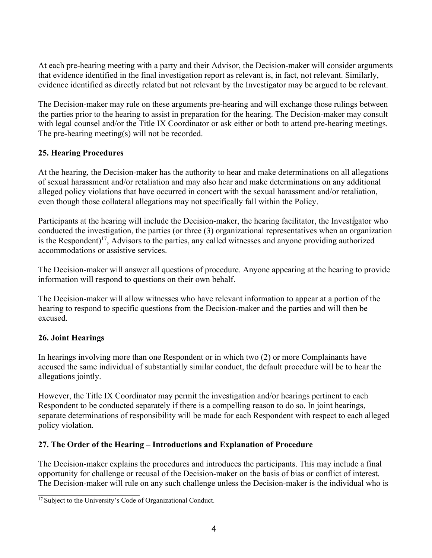At each pre-hearing meeting with a party and their Advisor, the Decision-maker will consider arguments that evidence identified in the final investigation report as relevant is, in fact, not relevant. Similarly, evidence identified as directly related but not relevant by the Investigator may be argued to be relevant.

The Decision-maker may rule on these arguments pre-hearing and will exchange those rulings between the parties prior to the hearing to assist in preparation for the hearing. The Decision-maker may consult with legal counsel and/or the Title IX Coordinator or ask either or both to attend pre-hearing meetings. The pre-hearing meeting(s) will not be recorded.

## **25. Hearing Procedures**

At the hearing, the Decision-maker has the authority to hear and make determinations on all allegations of sexual harassment and/or retaliation and may also hear and make determinations on any additional alleged policy violations that have occurred in concert with the sexual harassment and/or retaliation, even though those collateral allegations may not specifically fall within the Policy.

Participants at the hearing will include the Decision-maker, the hearing facilitator, the Investigator who conducted the investigation, the parties (or three (3) organizational representatives when an organization is the Respondent)<sup>17</sup>, Advisors to the parties, any called witnesses and anyone providing authorized accommodations or assistive services.

The Decision-maker will answer all questions of procedure. Anyone appearing at the hearing to provide information will respond to questions on their own behalf.

The Decision-maker will allow witnesses who have relevant information to appear at a portion of the hearing to respond to specific questions from the Decision-maker and the parties and will then be excused.

# **26. Joint Hearings**

In hearings involving more than one Respondent or in which two (2) or more Complainants have accused the same individual of substantially similar conduct, the default procedure will be to hear the allegations jointly.

However, the Title IX Coordinator may permit the investigation and/or hearings pertinent to each Respondent to be conducted separately if there is a compelling reason to do so. In joint hearings, separate determinations of responsibility will be made for each Respondent with respect to each alleged policy violation.

#### **27. The Order of the Hearing – Introductions and Explanation of Procedure**

The Decision-maker explains the procedures and introduces the participants. This may include a final opportunity for challenge or recusal of the Decision-maker on the basis of bias or conflict of interest. The Decision-maker will rule on any such challenge unless the Decision-maker is the individual who is

<sup>&</sup>lt;sup>17</sup> Subject to the University's Code of Organizational Conduct.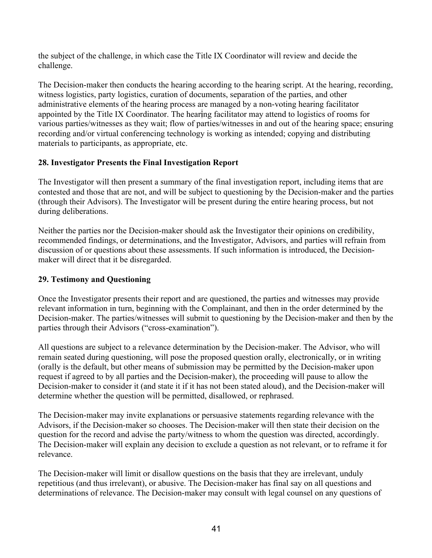the subject of the challenge, in which case the Title IX Coordinator will review and decide the challenge.

The Decision-maker then conducts the hearing according to the hearing script. At the hearing, recording, witness logistics, party logistics, curation of documents, separation of the parties, and other administrative elements of the hearing process are managed by a non-voting hearing facilitator appointed by the Title IX Coordinator. The hearing facilitator may attend to logistics of rooms for various parties/witnesses as they wait; flow of parties/witnesses in and out of the hearing space; ensuring recording and/or virtual conferencing technology is working as intended; copying and distributing materials to participants, as appropriate, etc.

# **28. Investigator Presents the Final Investigation Report**

The Investigator will then present a summary of the final investigation report, including items that are contested and those that are not, and will be subject to questioning by the Decision-maker and the parties (through their Advisors). The Investigator will be present during the entire hearing process, but not during deliberations.

Neither the parties nor the Decision-maker should ask the Investigator their opinions on credibility, recommended findings, or determinations, and the Investigator, Advisors, and parties will refrain from discussion of or questions about these assessments. If such information is introduced, the Decisionmaker will direct that it be disregarded.

# **29. Testimony and Questioning**

Once the Investigator presents their report and are questioned, the parties and witnesses may provide relevant information in turn, beginning with the Complainant, and then in the order determined by the Decision-maker. The parties/witnesses will submit to questioning by the Decision-maker and then by the parties through their Advisors ("cross-examination").

All questions are subject to a relevance determination by the Decision-maker. The Advisor, who will remain seated during questioning, will pose the proposed question orally, electronically, or in writing (orally is the default, but other means of submission may be permitted by the Decision-maker upon request if agreed to by all parties and the Decision-maker), the proceeding will pause to allow the Decision-maker to consider it (and state it if it has not been stated aloud), and the Decision-maker will determine whether the question will be permitted, disallowed, or rephrased.

The Decision-maker may invite explanations or persuasive statements regarding relevance with the Advisors, if the Decision-maker so chooses. The Decision-maker will then state their decision on the question for the record and advise the party/witness to whom the question was directed, accordingly. The Decision-maker will explain any decision to exclude a question as not relevant, or to reframe it for relevance.

The Decision-maker will limit or disallow questions on the basis that they are irrelevant, unduly repetitious (and thus irrelevant), or abusive. The Decision-maker has final say on all questions and determinations of relevance. The Decision-maker may consult with legal counsel on any questions of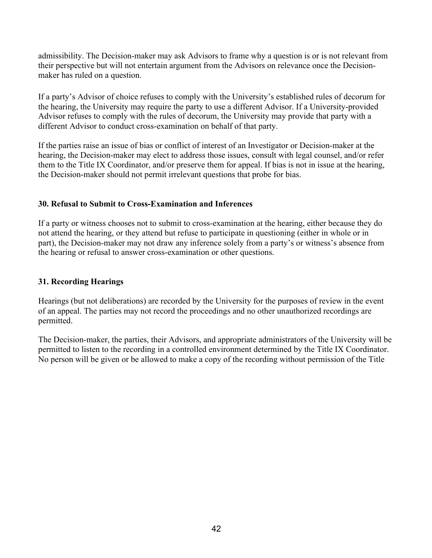admissibility. The Decision-maker may ask Advisors to frame why a question is or is not relevant from their perspective but will not entertain argument from the Advisors on relevance once the Decisionmaker has ruled on a question.

If a party's Advisor of choice refuses to comply with the University's established rules of decorum for the hearing, the University may require the party to use a different Advisor. If a University-provided Advisor refuses to comply with the rules of decorum, the University may provide that party with a different Advisor to conduct cross-examination on behalf of that party.

If the parties raise an issue of bias or conflict of interest of an Investigator or Decision-maker at the hearing, the Decision-maker may elect to address those issues, consult with legal counsel, and/or refer them to the Title IX Coordinator, and/or preserve them for appeal. If bias is not in issue at the hearing, the Decision-maker should not permit irrelevant questions that probe for bias.

#### **30. Refusal to Submit to Cross-Examination and Inferences**

If a party or witness chooses not to submit to cross-examination at the hearing, either because they do not attend the hearing, or they attend but refuse to participate in questioning (either in whole or in part), the Decision-maker may not draw any inference solely from a party's or witness's absence from the hearing or refusal to answer cross-examination or other questions.

#### **31. Recording Hearings**

Hearings (but not deliberations) are recorded by the University for the purposes of review in the event of an appeal. The parties may not record the proceedings and no other unauthorized recordings are permitted.

The Decision-maker, the parties, their Advisors, and appropriate administrators of the University will be permitted to listen to the recording in a controlled environment determined by the Title IX Coordinator. No person will be given or be allowed to make a copy of the recording without permission of the Title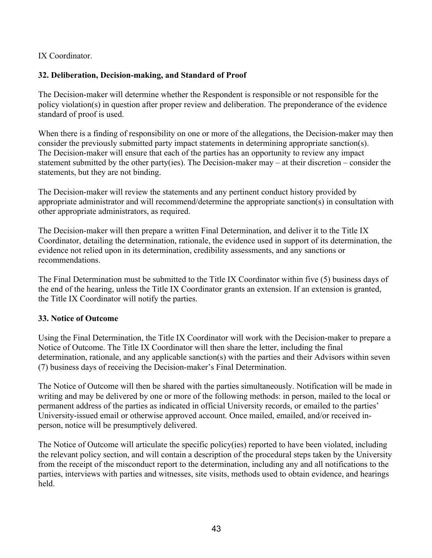IX Coordinator.

# **32. Deliberation, Decision-making, and Standard of Proof**

The Decision-maker will determine whether the Respondent is responsible or not responsible for the policy violation(s) in question after proper review and deliberation. The preponderance of the evidence standard of proof is used.

When there is a finding of responsibility on one or more of the allegations, the Decision-maker may then consider the previously submitted party impact statements in determining appropriate sanction(s). The Decision-maker will ensure that each of the parties has an opportunity to review any impact statement submitted by the other party(ies). The Decision-maker may – at their discretion – consider the statements, but they are not binding.

The Decision-maker will review the statements and any pertinent conduct history provided by appropriate administrator and will recommend/determine the appropriate sanction(s) in consultation with other appropriate administrators, as required.

The Decision-maker will then prepare a written Final Determination, and deliver it to the Title IX Coordinator, detailing the determination, rationale, the evidence used in support of its determination, the evidence not relied upon in its determination, credibility assessments, and any sanctions or recommendations.

The Final Determination must be submitted to the Title IX Coordinator within five (5) business days of the end of the hearing, unless the Title IX Coordinator grants an extension. If an extension is granted, the Title IX Coordinator will notify the parties.

#### **33. Notice of Outcome**

Using the Final Determination, the Title IX Coordinator will work with the Decision-maker to prepare a Notice of Outcome. The Title IX Coordinator will then share the letter, including the final determination, rationale, and any applicable sanction(s) with the parties and their Advisors within seven (7) business days of receiving the Decision-maker's Final Determination.

The Notice of Outcome will then be shared with the parties simultaneously. Notification will be made in writing and may be delivered by one or more of the following methods: in person, mailed to the local or permanent address of the parties as indicated in official University records, or emailed to the parties' University-issued email or otherwise approved account. Once mailed, emailed, and/or received inperson, notice will be presumptively delivered.

The Notice of Outcome will articulate the specific policy(ies) reported to have been violated, including the relevant policy section, and will contain a description of the procedural steps taken by the University from the receipt of the misconduct report to the determination, including any and all notifications to the parties, interviews with parties and witnesses, site visits, methods used to obtain evidence, and hearings held.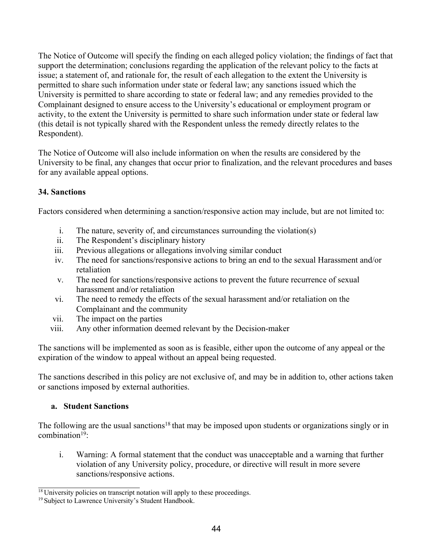The Notice of Outcome will specify the finding on each alleged policy violation; the findings of fact that support the determination; conclusions regarding the application of the relevant policy to the facts at issue; a statement of, and rationale for, the result of each allegation to the extent the University is permitted to share such information under state or federal law; any sanctions issued which the University is permitted to share according to state or federal law; and any remedies provided to the Complainant designed to ensure access to the University's educational or employment program or activity, to the extent the University is permitted to share such information under state or federal law (this detail is not typically shared with the Respondent unless the remedy directly relates to the Respondent).

The Notice of Outcome will also include information on when the results are considered by the University to be final, any changes that occur prior to finalization, and the relevant procedures and bases for any available appeal options.

# **34. Sanctions**

Factors considered when determining a sanction/responsive action may include, but are not limited to:

- i. The nature, severity of, and circumstances surrounding the violation(s)
- ii. The Respondent's disciplinary history
- iii. Previous allegations or allegations involving similar conduct
- iv. The need for sanctions/responsive actions to bring an end to the sexual Harassment and/or retaliation
- v. The need for sanctions/responsive actions to prevent the future recurrence of sexual harassment and/or retaliation
- vi. The need to remedy the effects of the sexual harassment and/or retaliation on the Complainant and the community
- vii. The impact on the parties
- viii. Any other information deemed relevant by the Decision-maker

The sanctions will be implemented as soon as is feasible, either upon the outcome of any appeal or the expiration of the window to appeal without an appeal being requested.

The sanctions described in this policy are not exclusive of, and may be in addition to, other actions taken or sanctions imposed by external authorities.

# **a. Student Sanctions**

The following are the usual sanctions<sup>18</sup> that may be imposed upon students or organizations singly or in combination $19$ :

i. Warning: A formal statement that the conduct was unacceptable and a warning that further violation of any University policy, procedure, or directive will result in more severe sanctions/responsive actions.

 $18$  University policies on transcript notation will apply to these proceedings.

<sup>&</sup>lt;sup>19</sup> Subject to Lawrence University's Student Handbook.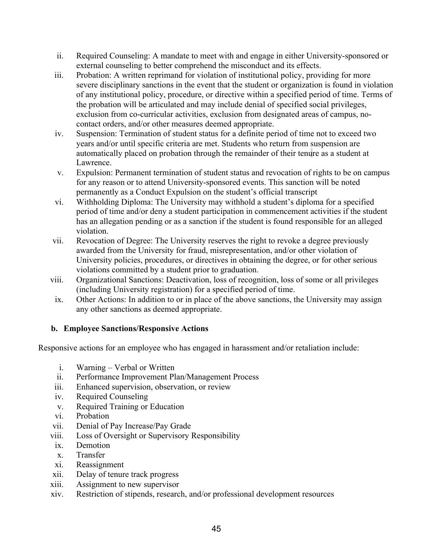- ii. Required Counseling: A mandate to meet with and engage in either University-sponsored or external counseling to better comprehend the misconduct and its effects.
- iii. Probation: A written reprimand for violation of institutional policy, providing for more severe disciplinary sanctions in the event that the student or organization is found in violation of any institutional policy, procedure, or directive within a specified period of time. Terms of the probation will be articulated and may include denial of specified social privileges, exclusion from co-curricular activities, exclusion from designated areas of campus, nocontact orders, and/or other measures deemed appropriate.
- iv. Suspension: Termination of student status for a definite period of time not to exceed two years and/or until specific criteria are met. Students who return from suspension are automatically placed on probation through the remainder of their tenure as a student at Lawrence.
- v. Expulsion: Permanent termination of student status and revocation of rights to be on campus for any reason or to attend University-sponsored events. This sanction will be noted permanently as a Conduct Expulsion on the student's official transcript
- vi. Withholding Diploma: The University may withhold a student's diploma for a specified period of time and/or deny a student participation in commencement activities if the student has an allegation pending or as a sanction if the student is found responsible for an alleged violation.
- vii. Revocation of Degree: The University reserves the right to revoke a degree previously awarded from the University for fraud, misrepresentation, and/or other violation of University policies, procedures, or directives in obtaining the degree, or for other serious violations committed by a student prior to graduation.
- viii. Organizational Sanctions: Deactivation, loss of recognition, loss of some or all privileges (including University registration) for a specified period of time.
- ix. Other Actions: In addition to or in place of the above sanctions, the University may assign any other sanctions as deemed appropriate.

# **b. Employee Sanctions/Responsive Actions**

Responsive actions for an employee who has engaged in harassment and/or retaliation include:

- i. Warning Verbal or Written
- ii. Performance Improvement Plan/Management Process
- iii. Enhanced supervision, observation, or review
- iv. Required Counseling
- v. Required Training or Education
- vi. Probation
- vii. Denial of Pay Increase/Pay Grade
- viii. Loss of Oversight or Supervisory Responsibility
- ix. Demotion
- x. Transfer
- xi. Reassignment
- xii. Delay of tenure track progress
- xiii. Assignment to new supervisor
- xiv. Restriction of stipends, research, and/or professional development resources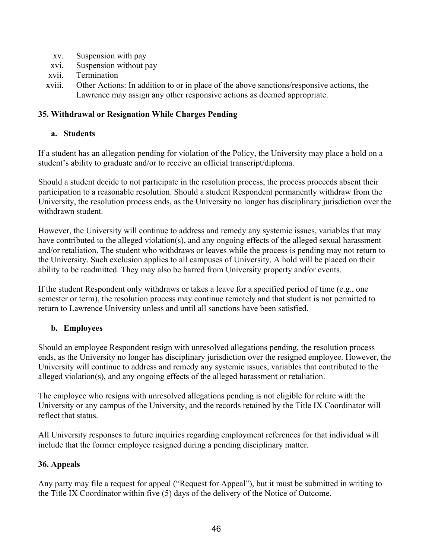- xv. Suspension with pay
- xvi. Suspension without pay
- xvii. Termination
- xviii. Other Actions: In addition to or in place of the above sanctions/responsive actions, the Lawrence may assign any other responsive actions as deemed appropriate.

#### **35. Withdrawal or Resignation While Charges Pending**

#### **a. Students**

If a student has an allegation pending for violation of the Policy, the University may place a hold on a student's ability to graduate and/or to receive an official transcript/diploma.

Should a student decide to not participate in the resolution process, the process proceeds absent their participation to a reasonable resolution. Should a student Respondent permanently withdraw from the University, the resolution process ends, as the University no longer has disciplinary jurisdiction over the withdrawn student.

However, the University will continue to address and remedy any systemic issues, variables that may have contributed to the alleged violation(s), and any ongoing effects of the alleged sexual harassment and/or retaliation. The student who withdraws or leaves while the process is pending may not return to the University. Such exclusion applies to all campuses of University. A hold will be placed on their ability to be readmitted. They may also be barred from University property and/or events.

If the student Respondent only withdraws or takes a leave for a specified period of time (e.g., one semester or term), the resolution process may continue remotely and that student is not permitted to return to Lawrence University unless and until all sanctions have been satisfied.

#### **b. Employees**

Should an employee Respondent resign with unresolved allegations pending, the resolution process ends, as the University no longer has disciplinary jurisdiction over the resigned employee. However, the University will continue to address and remedy any systemic issues, variables that contributed to the alleged violation(s), and any ongoing effects of the alleged harassment or retaliation.

The employee who resigns with unresolved allegations pending is not eligible for rehire with the University or any campus of the University, and the records retained by the Title IX Coordinator will reflect that status.

All University responses to future inquiries regarding employment references for that individual will include that the former employee resigned during a pending disciplinary matter.

#### **36. Appeals**

Any party may file a request for appeal ("Request for Appeal"), but it must be submitted in writing to the Title IX Coordinator within five (5) days of the delivery of the Notice of Outcome.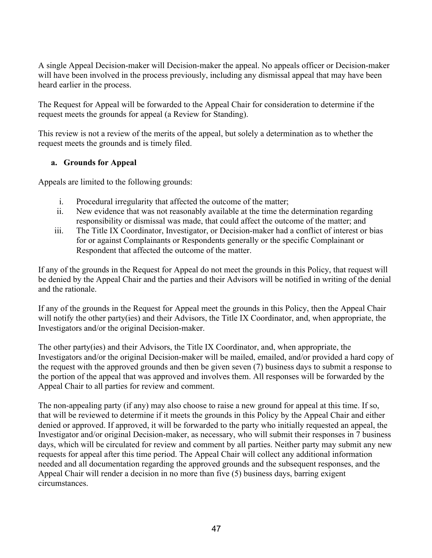A single Appeal Decision-maker will Decision-maker the appeal. No appeals officer or Decision-maker will have been involved in the process previously, including any dismissal appeal that may have been heard earlier in the process.

The Request for Appeal will be forwarded to the Appeal Chair for consideration to determine if the request meets the grounds for appeal (a Review for Standing).

This review is not a review of the merits of the appeal, but solely a determination as to whether the request meets the grounds and is timely filed.

# **a. Grounds for Appeal**

Appeals are limited to the following grounds:

- i. Procedural irregularity that affected the outcome of the matter;
- ii. New evidence that was not reasonably available at the time the determination regarding responsibility or dismissal was made, that could affect the outcome of the matter; and
- iii. The Title IX Coordinator, Investigator, or Decision-maker had a conflict of interest or bias for or against Complainants or Respondents generally or the specific Complainant or Respondent that affected the outcome of the matter.

If any of the grounds in the Request for Appeal do not meet the grounds in this Policy, that request will be denied by the Appeal Chair and the parties and their Advisors will be notified in writing of the denial and the rationale.

If any of the grounds in the Request for Appeal meet the grounds in this Policy, then the Appeal Chair will notify the other party(ies) and their Advisors, the Title IX Coordinator, and, when appropriate, the Investigators and/or the original Decision-maker.

The other party(ies) and their Advisors, the Title IX Coordinator, and, when appropriate, the Investigators and/or the original Decision-maker will be mailed, emailed, and/or provided a hard copy of the request with the approved grounds and then be given seven (7) business days to submit a response to the portion of the appeal that was approved and involves them. All responses will be forwarded by the Appeal Chair to all parties for review and comment.

The non-appealing party (if any) may also choose to raise a new ground for appeal at this time. If so, that will be reviewed to determine if it meets the grounds in this Policy by the Appeal Chair and either denied or approved. If approved, it will be forwarded to the party who initially requested an appeal, the Investigator and/or original Decision-maker, as necessary, who will submit their responses in 7 business days, which will be circulated for review and comment by all parties. Neither party may submit any new requests for appeal after this time period. The Appeal Chair will collect any additional information needed and all documentation regarding the approved grounds and the subsequent responses, and the Appeal Chair will render a decision in no more than five (5) business days, barring exigent circumstances.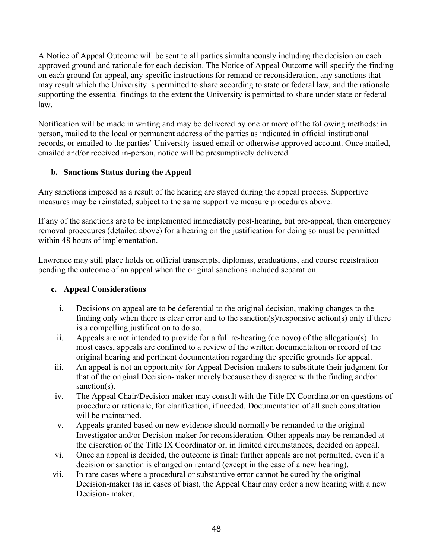A Notice of Appeal Outcome will be sent to all parties simultaneously including the decision on each approved ground and rationale for each decision. The Notice of Appeal Outcome will specify the finding on each ground for appeal, any specific instructions for remand or reconsideration, any sanctions that may result which the University is permitted to share according to state or federal law, and the rationale supporting the essential findings to the extent the University is permitted to share under state or federal law.

Notification will be made in writing and may be delivered by one or more of the following methods: in person, mailed to the local or permanent address of the parties as indicated in official institutional records, or emailed to the parties' University-issued email or otherwise approved account. Once mailed, emailed and/or received in-person, notice will be presumptively delivered.

# **b. Sanctions Status during the Appeal**

Any sanctions imposed as a result of the hearing are stayed during the appeal process. Supportive measures may be reinstated, subject to the same supportive measure procedures above.

If any of the sanctions are to be implemented immediately post-hearing, but pre-appeal, then emergency removal procedures (detailed above) for a hearing on the justification for doing so must be permitted within 48 hours of implementation.

Lawrence may still place holds on official transcripts, diplomas, graduations, and course registration pending the outcome of an appeal when the original sanctions included separation.

#### **c. Appeal Considerations**

- i. Decisions on appeal are to be deferential to the original decision, making changes to the finding only when there is clear error and to the sanction(s)/responsive action(s) only if there is a compelling justification to do so.
- ii. Appeals are not intended to provide for a full re-hearing (de novo) of the allegation(s). In most cases, appeals are confined to a review of the written documentation or record of the original hearing and pertinent documentation regarding the specific grounds for appeal.
- iii. An appeal is not an opportunity for Appeal Decision-makers to substitute their judgment for that of the original Decision-maker merely because they disagree with the finding and/or sanction(s).
- iv. The Appeal Chair/Decision-maker may consult with the Title IX Coordinator on questions of procedure or rationale, for clarification, if needed. Documentation of all such consultation will be maintained.
- v. Appeals granted based on new evidence should normally be remanded to the original Investigator and/or Decision-maker for reconsideration. Other appeals may be remanded at the discretion of the Title IX Coordinator or, in limited circumstances, decided on appeal.
- vi. Once an appeal is decided, the outcome is final: further appeals are not permitted, even if a decision or sanction is changed on remand (except in the case of a new hearing).
- vii. In rare cases where a procedural or substantive error cannot be cured by the original Decision-maker (as in cases of bias), the Appeal Chair may order a new hearing with a new Decision- maker.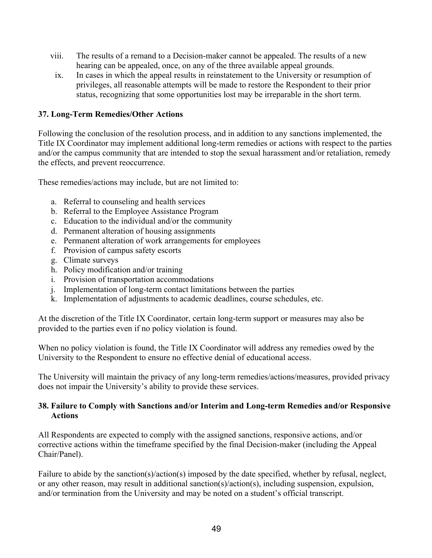- viii. The results of a remand to a Decision-maker cannot be appealed. The results of a new hearing can be appealed, once, on any of the three available appeal grounds.
- ix. In cases in which the appeal results in reinstatement to the University or resumption of privileges, all reasonable attempts will be made to restore the Respondent to their prior status, recognizing that some opportunities lost may be irreparable in the short term.

#### **37. Long-Term Remedies/Other Actions**

Following the conclusion of the resolution process, and in addition to any sanctions implemented, the Title IX Coordinator may implement additional long-term remedies or actions with respect to the parties and/or the campus community that are intended to stop the sexual harassment and/or retaliation, remedy the effects, and prevent reoccurrence.

These remedies/actions may include, but are not limited to:

- a. Referral to counseling and health services
- b. Referral to the Employee Assistance Program
- c. Education to the individual and/or the community
- d. Permanent alteration of housing assignments
- e. Permanent alteration of work arrangements for employees
- f. Provision of campus safety escorts
- g. Climate surveys
- h. Policy modification and/or training
- i. Provision of transportation accommodations
- j. Implementation of long-term contact limitations between the parties
- k. Implementation of adjustments to academic deadlines, course schedules, etc.

At the discretion of the Title IX Coordinator, certain long-term support or measures may also be provided to the parties even if no policy violation is found.

When no policy violation is found, the Title IX Coordinator will address any remedies owed by the University to the Respondent to ensure no effective denial of educational access.

The University will maintain the privacy of any long-term remedies/actions/measures, provided privacy does not impair the University's ability to provide these services.

#### **38. Failure to Comply with Sanctions and/or Interim and Long-term Remedies and/or Responsive Actions**

All Respondents are expected to comply with the assigned sanctions, responsive actions, and/or corrective actions within the timeframe specified by the final Decision-maker (including the Appeal Chair/Panel).

Failure to abide by the sanction(s)/action(s) imposed by the date specified, whether by refusal, neglect, or any other reason, may result in additional sanction(s)/action(s), including suspension, expulsion, and/or termination from the University and may be noted on a student's official transcript.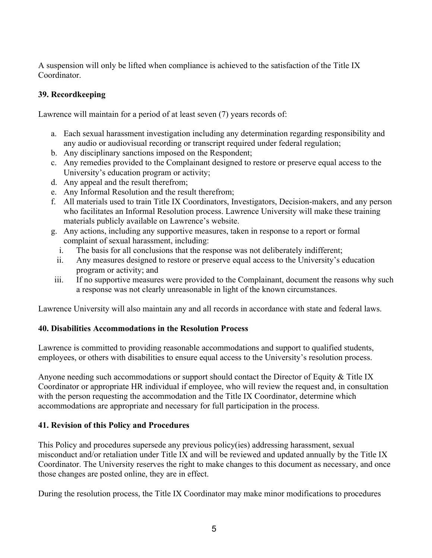A suspension will only be lifted when compliance is achieved to the satisfaction of the Title IX Coordinator.

# **39. Recordkeeping**

Lawrence will maintain for a period of at least seven (7) years records of:

- a. Each sexual harassment investigation including any determination regarding responsibility and any audio or audiovisual recording or transcript required under federal regulation;
- b. Any disciplinary sanctions imposed on the Respondent;
- c. Any remedies provided to the Complainant designed to restore or preserve equal access to the University's education program or activity;
- d. Any appeal and the result therefrom;
- e. Any Informal Resolution and the result therefrom;
- f. All materials used to train Title IX Coordinators, Investigators, Decision-makers, and any person who facilitates an Informal Resolution process. Lawrence University will make these training materials publicly available on Lawrence's website.
- g. Any actions, including any supportive measures, taken in response to a report or formal complaint of sexual harassment, including:
	- i. The basis for all conclusions that the response was not deliberately indifferent;
	- ii. Any measures designed to restore or preserve equal access to the University's education program or activity; and
- iii. If no supportive measures were provided to the Complainant, document the reasons why such a response was not clearly unreasonable in light of the known circumstances.

Lawrence University will also maintain any and all records in accordance with state and federal laws.

#### **40. Disabilities Accommodations in the Resolution Process**

Lawrence is committed to providing reasonable accommodations and support to qualified students, employees, or others with disabilities to ensure equal access to the University's resolution process.

Anyone needing such accommodations or support should contact the Director of Equity & Title IX Coordinator or appropriate HR individual if employee, who will review the request and, in consultation with the person requesting the accommodation and the Title IX Coordinator, determine which accommodations are appropriate and necessary for full participation in the process.

# **41. Revision of this Policy and Procedures**

This Policy and procedures supersede any previous policy(ies) addressing harassment, sexual misconduct and/or retaliation under Title IX and will be reviewed and updated annually by the Title IX Coordinator. The University reserves the right to make changes to this document as necessary, and once those changes are posted online, they are in effect.

During the resolution process, the Title IX Coordinator may make minor modifications to procedures